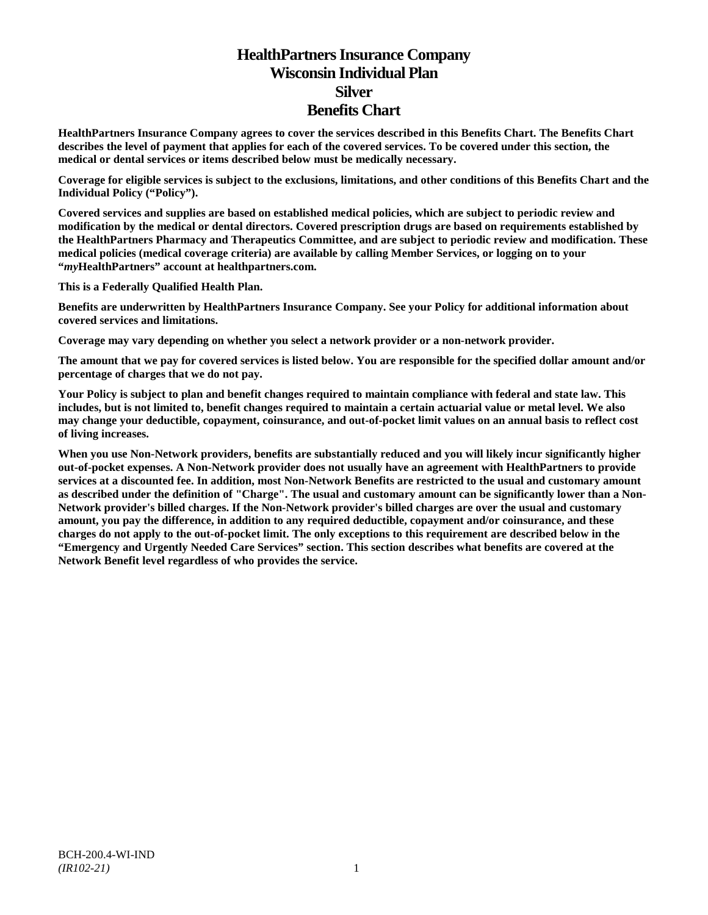# **HealthPartners Insurance Company Wisconsin Individual Plan Silver Benefits Chart**

**HealthPartners Insurance Company agrees to cover the services described in this Benefits Chart. The Benefits Chart describes the level of payment that applies for each of the covered services. To be covered under this section, the medical or dental services or items described below must be medically necessary.**

**Coverage for eligible services is subject to the exclusions, limitations, and other conditions of this Benefits Chart and the Individual Policy ("Policy").**

**Covered services and supplies are based on established medical policies, which are subject to periodic review and modification by the medical or dental directors. Covered prescription drugs are based on requirements established by the HealthPartners Pharmacy and Therapeutics Committee, and are subject to periodic review and modification. These medical policies (medical coverage criteria) are available by calling Member Services, or logging on to your "***my***HealthPartners" account at [healthpartners.com.](http://www.healthpartners.com/)**

**This is a Federally Qualified Health Plan.**

**Benefits are underwritten by HealthPartners Insurance Company. See your Policy for additional information about covered services and limitations.**

**Coverage may vary depending on whether you select a network provider or a non-network provider.**

**The amount that we pay for covered services is listed below. You are responsible for the specified dollar amount and/or percentage of charges that we do not pay.**

**Your Policy is subject to plan and benefit changes required to maintain compliance with federal and state law. This includes, but is not limited to, benefit changes required to maintain a certain actuarial value or metal level. We also may change your deductible, copayment, coinsurance, and out-of-pocket limit values on an annual basis to reflect cost of living increases.**

**When you use Non-Network providers, benefits are substantially reduced and you will likely incur significantly higher out-of-pocket expenses. A Non-Network provider does not usually have an agreement with HealthPartners to provide services at a discounted fee. In addition, most Non-Network Benefits are restricted to the usual and customary amount as described under the definition of "Charge". The usual and customary amount can be significantly lower than a Non-Network provider's billed charges. If the Non-Network provider's billed charges are over the usual and customary amount, you pay the difference, in addition to any required deductible, copayment and/or coinsurance, and these charges do not apply to the out-of-pocket limit. The only exceptions to this requirement are described below in the "Emergency and Urgently Needed Care Services" section. This section describes what benefits are covered at the Network Benefit level regardless of who provides the service.**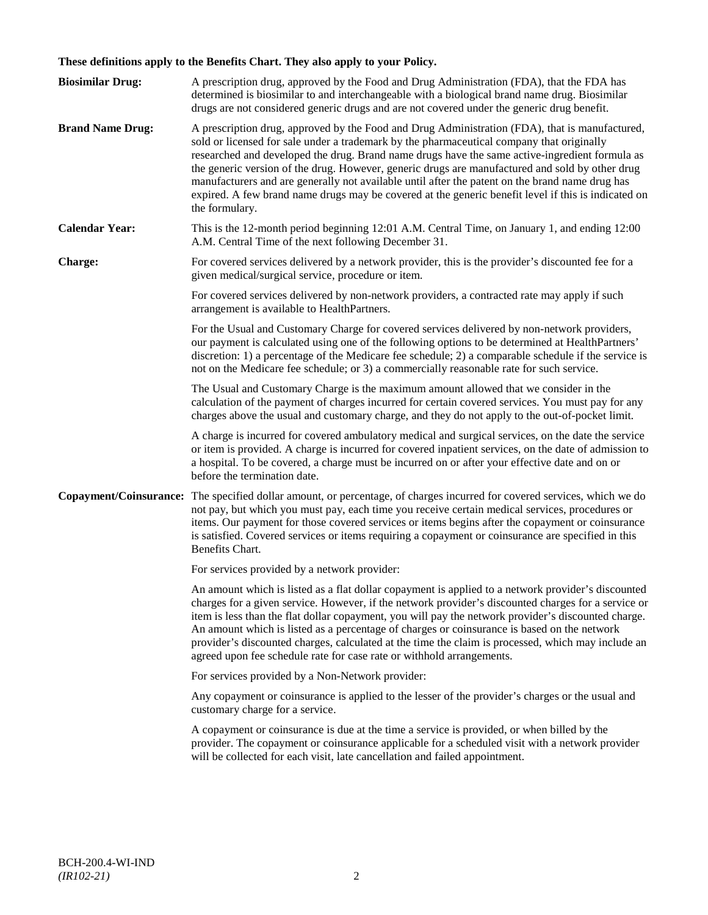# **These definitions apply to the Benefits Chart. They also apply to your Policy.**

| <b>Biosimilar Drug:</b> | A prescription drug, approved by the Food and Drug Administration (FDA), that the FDA has<br>determined is biosimilar to and interchangeable with a biological brand name drug. Biosimilar<br>drugs are not considered generic drugs and are not covered under the generic drug benefit.                                                                                                                                                                                                                                                                                                                                     |
|-------------------------|------------------------------------------------------------------------------------------------------------------------------------------------------------------------------------------------------------------------------------------------------------------------------------------------------------------------------------------------------------------------------------------------------------------------------------------------------------------------------------------------------------------------------------------------------------------------------------------------------------------------------|
| <b>Brand Name Drug:</b> | A prescription drug, approved by the Food and Drug Administration (FDA), that is manufactured,<br>sold or licensed for sale under a trademark by the pharmaceutical company that originally<br>researched and developed the drug. Brand name drugs have the same active-ingredient formula as<br>the generic version of the drug. However, generic drugs are manufactured and sold by other drug<br>manufacturers and are generally not available until after the patent on the brand name drug has<br>expired. A few brand name drugs may be covered at the generic benefit level if this is indicated on<br>the formulary. |
| <b>Calendar Year:</b>   | This is the 12-month period beginning 12:01 A.M. Central Time, on January 1, and ending 12:00<br>A.M. Central Time of the next following December 31.                                                                                                                                                                                                                                                                                                                                                                                                                                                                        |
| Charge:                 | For covered services delivered by a network provider, this is the provider's discounted fee for a<br>given medical/surgical service, procedure or item.                                                                                                                                                                                                                                                                                                                                                                                                                                                                      |
|                         | For covered services delivered by non-network providers, a contracted rate may apply if such<br>arrangement is available to HealthPartners.                                                                                                                                                                                                                                                                                                                                                                                                                                                                                  |
|                         | For the Usual and Customary Charge for covered services delivered by non-network providers,<br>our payment is calculated using one of the following options to be determined at HealthPartners'<br>discretion: 1) a percentage of the Medicare fee schedule; 2) a comparable schedule if the service is<br>not on the Medicare fee schedule; or 3) a commercially reasonable rate for such service.                                                                                                                                                                                                                          |
|                         | The Usual and Customary Charge is the maximum amount allowed that we consider in the<br>calculation of the payment of charges incurred for certain covered services. You must pay for any<br>charges above the usual and customary charge, and they do not apply to the out-of-pocket limit.                                                                                                                                                                                                                                                                                                                                 |
|                         | A charge is incurred for covered ambulatory medical and surgical services, on the date the service<br>or item is provided. A charge is incurred for covered inpatient services, on the date of admission to<br>a hospital. To be covered, a charge must be incurred on or after your effective date and on or<br>before the termination date.                                                                                                                                                                                                                                                                                |
| Copayment/Coinsurance:  | The specified dollar amount, or percentage, of charges incurred for covered services, which we do<br>not pay, but which you must pay, each time you receive certain medical services, procedures or<br>items. Our payment for those covered services or items begins after the copayment or coinsurance<br>is satisfied. Covered services or items requiring a copayment or coinsurance are specified in this<br>Benefits Chart.                                                                                                                                                                                             |
|                         | For services provided by a network provider:                                                                                                                                                                                                                                                                                                                                                                                                                                                                                                                                                                                 |
|                         | An amount which is listed as a flat dollar copayment is applied to a network provider's discounted<br>charges for a given service. However, if the network provider's discounted charges for a service or<br>item is less than the flat dollar copayment, you will pay the network provider's discounted charge.<br>An amount which is listed as a percentage of charges or coinsurance is based on the network<br>provider's discounted charges, calculated at the time the claim is processed, which may include an<br>agreed upon fee schedule rate for case rate or withhold arrangements.                               |
|                         | For services provided by a Non-Network provider:                                                                                                                                                                                                                                                                                                                                                                                                                                                                                                                                                                             |
|                         | Any copayment or coinsurance is applied to the lesser of the provider's charges or the usual and<br>customary charge for a service.                                                                                                                                                                                                                                                                                                                                                                                                                                                                                          |
|                         | A copayment or coinsurance is due at the time a service is provided, or when billed by the<br>provider. The copayment or coinsurance applicable for a scheduled visit with a network provider<br>will be collected for each visit, late cancellation and failed appointment.                                                                                                                                                                                                                                                                                                                                                 |
|                         |                                                                                                                                                                                                                                                                                                                                                                                                                                                                                                                                                                                                                              |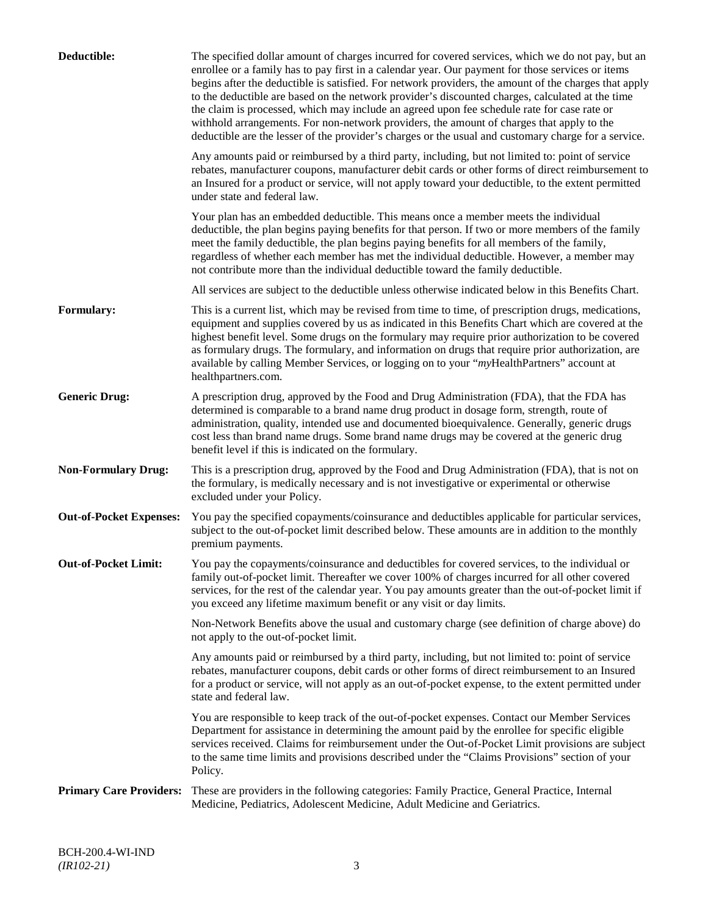| Deductible:                    | The specified dollar amount of charges incurred for covered services, which we do not pay, but an<br>enrollee or a family has to pay first in a calendar year. Our payment for those services or items<br>begins after the deductible is satisfied. For network providers, the amount of the charges that apply<br>to the deductible are based on the network provider's discounted charges, calculated at the time<br>the claim is processed, which may include an agreed upon fee schedule rate for case rate or<br>withhold arrangements. For non-network providers, the amount of charges that apply to the<br>deductible are the lesser of the provider's charges or the usual and customary charge for a service. |
|--------------------------------|-------------------------------------------------------------------------------------------------------------------------------------------------------------------------------------------------------------------------------------------------------------------------------------------------------------------------------------------------------------------------------------------------------------------------------------------------------------------------------------------------------------------------------------------------------------------------------------------------------------------------------------------------------------------------------------------------------------------------|
|                                | Any amounts paid or reimbursed by a third party, including, but not limited to: point of service<br>rebates, manufacturer coupons, manufacturer debit cards or other forms of direct reimbursement to<br>an Insured for a product or service, will not apply toward your deductible, to the extent permitted<br>under state and federal law.                                                                                                                                                                                                                                                                                                                                                                            |
|                                | Your plan has an embedded deductible. This means once a member meets the individual<br>deductible, the plan begins paying benefits for that person. If two or more members of the family<br>meet the family deductible, the plan begins paying benefits for all members of the family,<br>regardless of whether each member has met the individual deductible. However, a member may<br>not contribute more than the individual deductible toward the family deductible.                                                                                                                                                                                                                                                |
|                                | All services are subject to the deductible unless otherwise indicated below in this Benefits Chart.                                                                                                                                                                                                                                                                                                                                                                                                                                                                                                                                                                                                                     |
| <b>Formulary:</b>              | This is a current list, which may be revised from time to time, of prescription drugs, medications,<br>equipment and supplies covered by us as indicated in this Benefits Chart which are covered at the<br>highest benefit level. Some drugs on the formulary may require prior authorization to be covered<br>as formulary drugs. The formulary, and information on drugs that require prior authorization, are<br>available by calling Member Services, or logging on to your "myHealthPartners" account at<br>healthpartners.com.                                                                                                                                                                                   |
| <b>Generic Drug:</b>           | A prescription drug, approved by the Food and Drug Administration (FDA), that the FDA has<br>determined is comparable to a brand name drug product in dosage form, strength, route of<br>administration, quality, intended use and documented bioequivalence. Generally, generic drugs<br>cost less than brand name drugs. Some brand name drugs may be covered at the generic drug<br>benefit level if this is indicated on the formulary.                                                                                                                                                                                                                                                                             |
| <b>Non-Formulary Drug:</b>     | This is a prescription drug, approved by the Food and Drug Administration (FDA), that is not on<br>the formulary, is medically necessary and is not investigative or experimental or otherwise<br>excluded under your Policy.                                                                                                                                                                                                                                                                                                                                                                                                                                                                                           |
| <b>Out-of-Pocket Expenses:</b> | You pay the specified copayments/coinsurance and deductibles applicable for particular services,<br>subject to the out-of-pocket limit described below. These amounts are in addition to the monthly<br>premium payments.                                                                                                                                                                                                                                                                                                                                                                                                                                                                                               |
| <b>Out-of-Pocket Limit:</b>    | You pay the copayments/coinsurance and deductibles for covered services, to the individual or<br>family out-of-pocket limit. Thereafter we cover 100% of charges incurred for all other covered<br>services, for the rest of the calendar year. You pay amounts greater than the out-of-pocket limit if<br>you exceed any lifetime maximum benefit or any visit or day limits.                                                                                                                                                                                                                                                                                                                                          |
|                                | Non-Network Benefits above the usual and customary charge (see definition of charge above) do<br>not apply to the out-of-pocket limit.                                                                                                                                                                                                                                                                                                                                                                                                                                                                                                                                                                                  |
|                                | Any amounts paid or reimbursed by a third party, including, but not limited to: point of service<br>rebates, manufacturer coupons, debit cards or other forms of direct reimbursement to an Insured<br>for a product or service, will not apply as an out-of-pocket expense, to the extent permitted under<br>state and federal law.                                                                                                                                                                                                                                                                                                                                                                                    |
|                                | You are responsible to keep track of the out-of-pocket expenses. Contact our Member Services<br>Department for assistance in determining the amount paid by the enrollee for specific eligible<br>services received. Claims for reimbursement under the Out-of-Pocket Limit provisions are subject<br>to the same time limits and provisions described under the "Claims Provisions" section of your<br>Policy.                                                                                                                                                                                                                                                                                                         |
| <b>Primary Care Providers:</b> | These are providers in the following categories: Family Practice, General Practice, Internal<br>Medicine, Pediatrics, Adolescent Medicine, Adult Medicine and Geriatrics.                                                                                                                                                                                                                                                                                                                                                                                                                                                                                                                                               |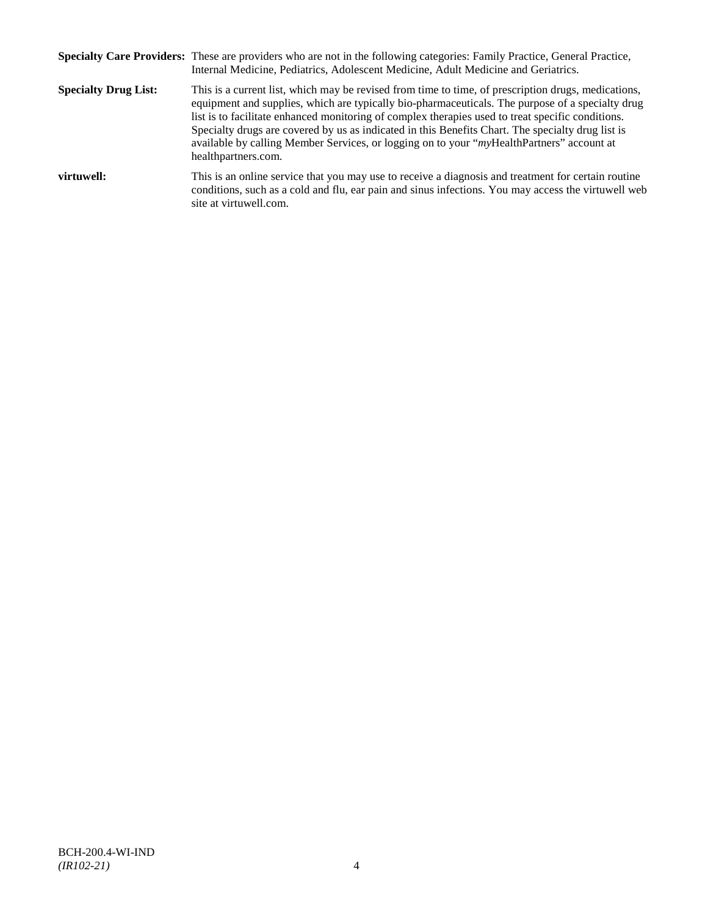|                             | Specialty Care Providers: These are providers who are not in the following categories: Family Practice, General Practice,<br>Internal Medicine, Pediatrics, Adolescent Medicine, Adult Medicine and Geriatrics.                                                                                                                                                                                                                                                                                                                       |
|-----------------------------|---------------------------------------------------------------------------------------------------------------------------------------------------------------------------------------------------------------------------------------------------------------------------------------------------------------------------------------------------------------------------------------------------------------------------------------------------------------------------------------------------------------------------------------|
| <b>Specialty Drug List:</b> | This is a current list, which may be revised from time to time, of prescription drugs, medications,<br>equipment and supplies, which are typically bio-pharmaceuticals. The purpose of a specialty drug<br>list is to facilitate enhanced monitoring of complex therapies used to treat specific conditions.<br>Specialty drugs are covered by us as indicated in this Benefits Chart. The specialty drug list is<br>available by calling Member Services, or logging on to your "myHealthPartners" account at<br>healthpartners.com. |
| virtuwell:                  | This is an online service that you may use to receive a diagnosis and treatment for certain routine<br>conditions, such as a cold and flu, ear pain and sinus infections. You may access the virtuwell web<br>site at virtuwell.com.                                                                                                                                                                                                                                                                                                  |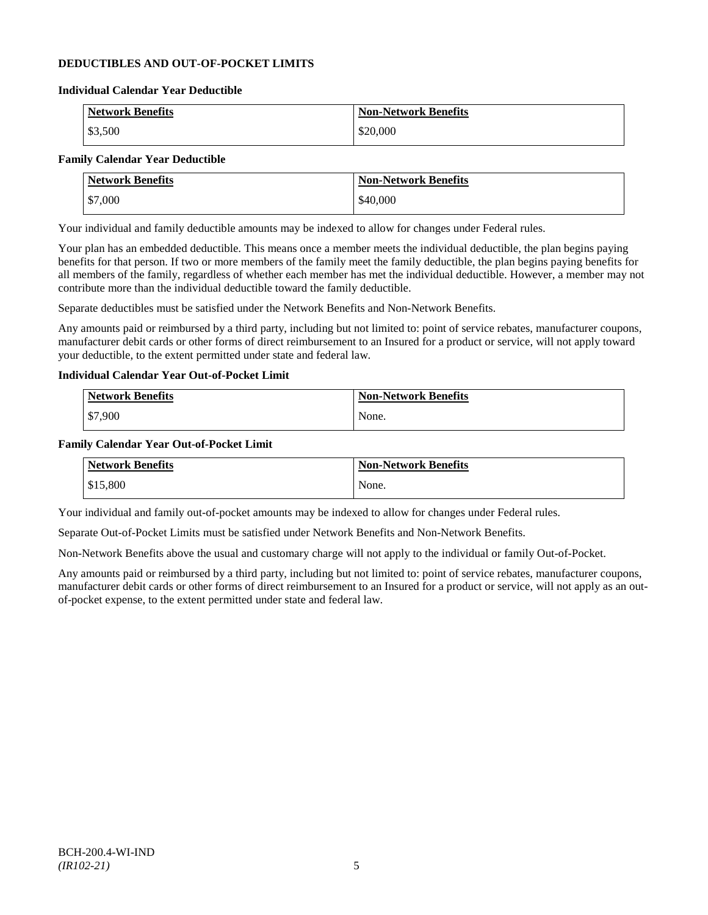# **DEDUCTIBLES AND OUT-OF-POCKET LIMITS**

#### **Individual Calendar Year Deductible**

| Network Benefits | <b>Non-Network Benefits</b> |
|------------------|-----------------------------|
| \$3,500          | \$20,000                    |

# **Family Calendar Year Deductible**

| <b>Network Benefits</b> | <b>Non-Network Benefits</b> |
|-------------------------|-----------------------------|
| \$7,000                 | \$40,000                    |

Your individual and family deductible amounts may be indexed to allow for changes under Federal rules.

Your plan has an embedded deductible. This means once a member meets the individual deductible, the plan begins paying benefits for that person. If two or more members of the family meet the family deductible, the plan begins paying benefits for all members of the family, regardless of whether each member has met the individual deductible. However, a member may not contribute more than the individual deductible toward the family deductible.

Separate deductibles must be satisfied under the Network Benefits and Non-Network Benefits.

Any amounts paid or reimbursed by a third party, including but not limited to: point of service rebates, manufacturer coupons, manufacturer debit cards or other forms of direct reimbursement to an Insured for a product or service, will not apply toward your deductible, to the extent permitted under state and federal law.

# **Individual Calendar Year Out-of-Pocket Limit**

| Network Benefits | <b>Non-Network Benefits</b> |
|------------------|-----------------------------|
| \$7,900          | None.                       |

#### **Family Calendar Year Out-of-Pocket Limit**

| <b>Network Benefits</b> | <b>Non-Network Benefits</b> |
|-------------------------|-----------------------------|
| \$15,800                | None.                       |

Your individual and family out-of-pocket amounts may be indexed to allow for changes under Federal rules.

Separate Out-of-Pocket Limits must be satisfied under Network Benefits and Non-Network Benefits.

Non-Network Benefits above the usual and customary charge will not apply to the individual or family Out-of-Pocket.

Any amounts paid or reimbursed by a third party, including but not limited to: point of service rebates, manufacturer coupons, manufacturer debit cards or other forms of direct reimbursement to an Insured for a product or service, will not apply as an outof-pocket expense, to the extent permitted under state and federal law.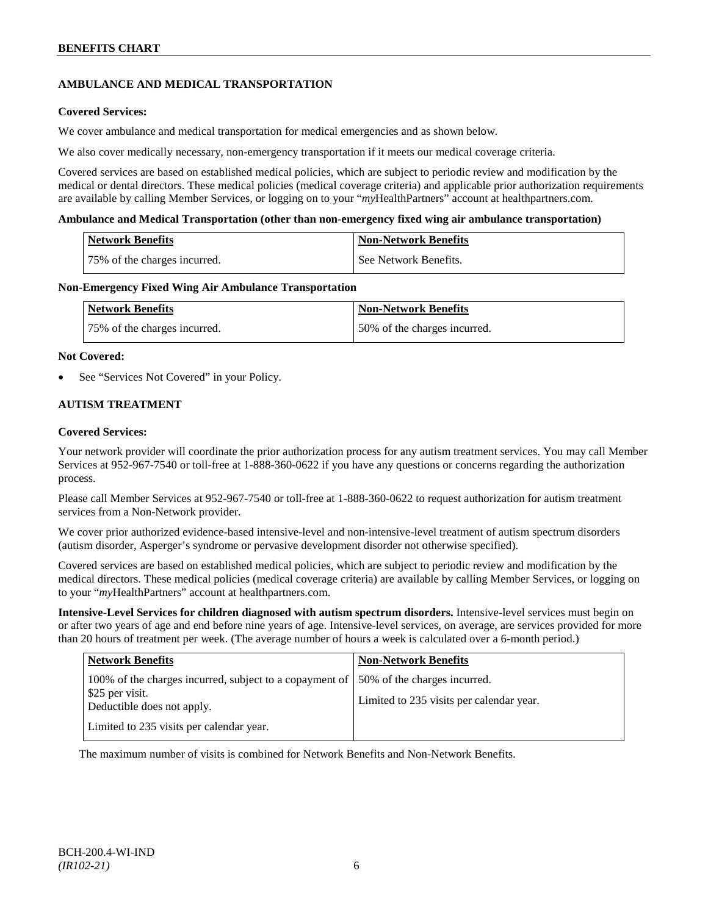# **AMBULANCE AND MEDICAL TRANSPORTATION**

# **Covered Services:**

We cover ambulance and medical transportation for medical emergencies and as shown below.

We also cover medically necessary, non-emergency transportation if it meets our medical coverage criteria.

Covered services are based on established medical policies, which are subject to periodic review and modification by the medical or dental directors. These medical policies (medical coverage criteria) and applicable prior authorization requirements are available by calling Member Services, or logging on to your "*my*HealthPartners" account at [healthpartners.com.](http://www.healthpartners.com/)

### **Ambulance and Medical Transportation (other than non-emergency fixed wing air ambulance transportation)**

| <b>Network Benefits</b>      | Non-Network Benefits    |
|------------------------------|-------------------------|
| 75% of the charges incurred. | l See Network Benefits. |

#### **Non-Emergency Fixed Wing Air Ambulance Transportation**

| <b>Network Benefits</b>      | <b>Non-Network Benefits</b>   |
|------------------------------|-------------------------------|
| 75% of the charges incurred. | 150% of the charges incurred. |

#### **Not Covered:**

See "Services Not Covered" in your Policy.

# **AUTISM TREATMENT**

# **Covered Services:**

Your network provider will coordinate the prior authorization process for any autism treatment services. You may call Member Services at 952-967-7540 or toll-free at 1-888-360-0622 if you have any questions or concerns regarding the authorization process.

Please call Member Services at 952-967-7540 or toll-free at 1-888-360-0622 to request authorization for autism treatment services from a Non-Network provider.

We cover prior authorized evidence-based intensive-level and non-intensive-level treatment of autism spectrum disorders (autism disorder, Asperger's syndrome or pervasive development disorder not otherwise specified).

Covered services are based on established medical policies, which are subject to periodic review and modification by the medical directors. These medical policies (medical coverage criteria) are available by calling Member Services, or logging on to your "*my*HealthPartners" account at [healthpartners.com.](http://www.healthpartners.com/)

**Intensive-Level Services for children diagnosed with autism spectrum disorders.** Intensive-level services must begin on or after two years of age and end before nine years of age. Intensive-level services, on average, are services provided for more than 20 hours of treatment per week. (The average number of hours a week is calculated over a 6-month period.)

| <b>Network Benefits</b>                                                                                  | <b>Non-Network Benefits</b>                                              |
|----------------------------------------------------------------------------------------------------------|--------------------------------------------------------------------------|
| 100% of the charges incurred, subject to a copayment of<br>\$25 per visit.<br>Deductible does not apply. | 50% of the charges incurred.<br>Limited to 235 visits per calendar year. |
| Limited to 235 visits per calendar year.                                                                 |                                                                          |

The maximum number of visits is combined for Network Benefits and Non-Network Benefits.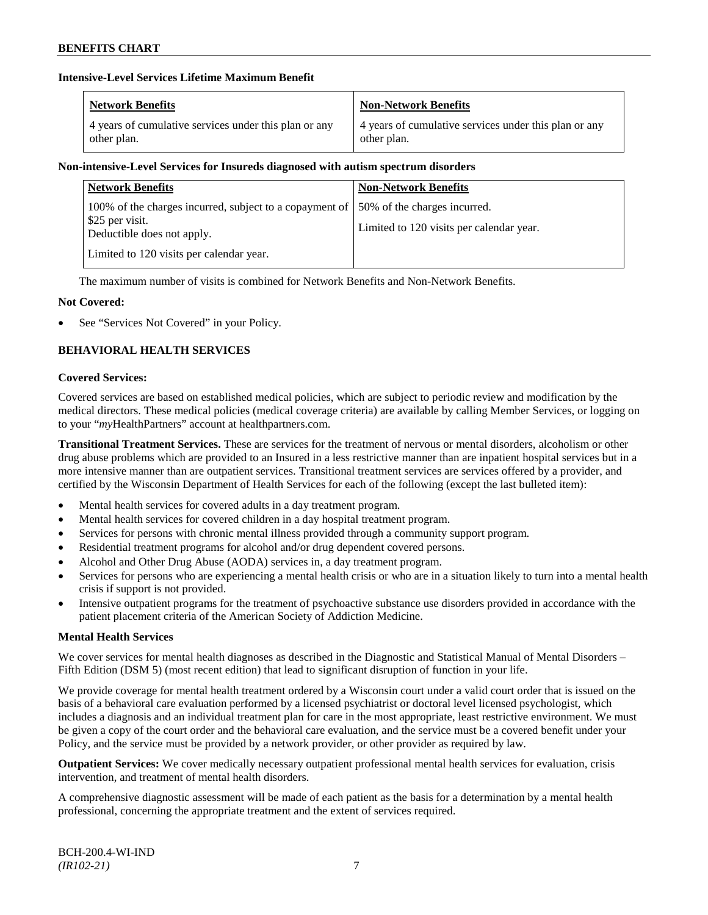# **Intensive-Level Services Lifetime Maximum Benefit**

| <b>Network Benefits</b>                               | <b>Non-Network Benefits</b>                           |
|-------------------------------------------------------|-------------------------------------------------------|
| 4 years of cumulative services under this plan or any | 4 years of cumulative services under this plan or any |
| other plan.                                           | other plan.                                           |

# **Non-intensive-Level Services for Insureds diagnosed with autism spectrum disorders**

| <b>Network Benefits</b>                                                                                  | <b>Non-Network Benefits</b>                                              |
|----------------------------------------------------------------------------------------------------------|--------------------------------------------------------------------------|
| 100% of the charges incurred, subject to a copayment of<br>\$25 per visit.<br>Deductible does not apply. | 50% of the charges incurred.<br>Limited to 120 visits per calendar year. |
| Limited to 120 visits per calendar year.                                                                 |                                                                          |

The maximum number of visits is combined for Network Benefits and Non-Network Benefits.

# **Not Covered:**

See "Services Not Covered" in your Policy.

# **BEHAVIORAL HEALTH SERVICES**

#### **Covered Services:**

Covered services are based on established medical policies, which are subject to periodic review and modification by the medical directors. These medical policies (medical coverage criteria) are available by calling Member Services, or logging on to your "*my*HealthPartners" account at [healthpartners.com.](http://www.healthpartners.com/)

**Transitional Treatment Services.** These are services for the treatment of nervous or mental disorders, alcoholism or other drug abuse problems which are provided to an Insured in a less restrictive manner than are inpatient hospital services but in a more intensive manner than are outpatient services. Transitional treatment services are services offered by a provider, and certified by the Wisconsin Department of Health Services for each of the following (except the last bulleted item):

- Mental health services for covered adults in a day treatment program.
- Mental health services for covered children in a day hospital treatment program.
- Services for persons with chronic mental illness provided through a community support program.
- Residential treatment programs for alcohol and/or drug dependent covered persons.
- Alcohol and Other Drug Abuse (AODA) services in, a day treatment program.
- Services for persons who are experiencing a mental health crisis or who are in a situation likely to turn into a mental health crisis if support is not provided.
- Intensive outpatient programs for the treatment of psychoactive substance use disorders provided in accordance with the patient placement criteria of the American Society of Addiction Medicine.

# **Mental Health Services**

We cover services for mental health diagnoses as described in the Diagnostic and Statistical Manual of Mental Disorders – Fifth Edition (DSM 5) (most recent edition) that lead to significant disruption of function in your life.

We provide coverage for mental health treatment ordered by a Wisconsin court under a valid court order that is issued on the basis of a behavioral care evaluation performed by a licensed psychiatrist or doctoral level licensed psychologist, which includes a diagnosis and an individual treatment plan for care in the most appropriate, least restrictive environment. We must be given a copy of the court order and the behavioral care evaluation, and the service must be a covered benefit under your Policy, and the service must be provided by a network provider, or other provider as required by law.

**Outpatient Services:** We cover medically necessary outpatient professional mental health services for evaluation, crisis intervention, and treatment of mental health disorders.

A comprehensive diagnostic assessment will be made of each patient as the basis for a determination by a mental health professional, concerning the appropriate treatment and the extent of services required.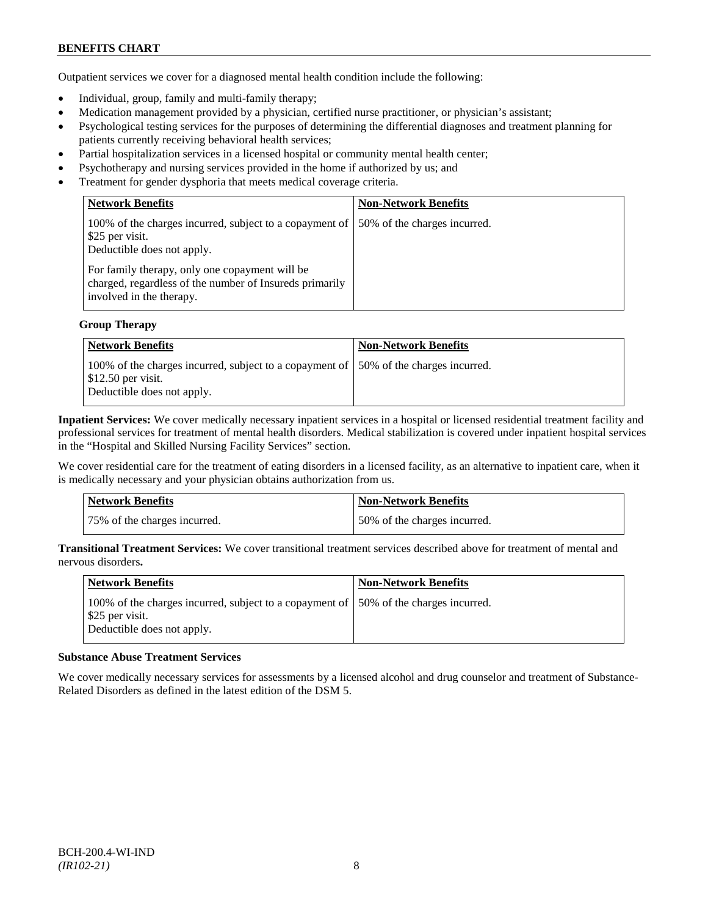Outpatient services we cover for a diagnosed mental health condition include the following:

- Individual, group, family and multi-family therapy;
- Medication management provided by a physician, certified nurse practitioner, or physician's assistant;
- Psychological testing services for the purposes of determining the differential diagnoses and treatment planning for patients currently receiving behavioral health services;
- Partial hospitalization services in a licensed hospital or community mental health center;
- Psychotherapy and nursing services provided in the home if authorized by us; and
- Treatment for gender dysphoria that meets medical coverage criteria.

| <b>Network Benefits</b>                                                                                                               | <b>Non-Network Benefits</b>  |
|---------------------------------------------------------------------------------------------------------------------------------------|------------------------------|
| 100% of the charges incurred, subject to a copayment of<br>\$25 per visit.<br>Deductible does not apply.                              | 50% of the charges incurred. |
| For family therapy, only one copayment will be<br>charged, regardless of the number of Insureds primarily<br>involved in the therapy. |                              |

#### **Group Therapy**

| Network Benefits                                                                                                                                        | <b>Non-Network Benefits</b> |
|---------------------------------------------------------------------------------------------------------------------------------------------------------|-----------------------------|
| 100% of the charges incurred, subject to a copayment of 150% of the charges incurred.<br>$\frac{1}{2}$ \$12.50 per visit.<br>Deductible does not apply. |                             |

**Inpatient Services:** We cover medically necessary inpatient services in a hospital or licensed residential treatment facility and professional services for treatment of mental health disorders. Medical stabilization is covered under inpatient hospital services in the "Hospital and Skilled Nursing Facility Services" section.

We cover residential care for the treatment of eating disorders in a licensed facility, as an alternative to inpatient care, when it is medically necessary and your physician obtains authorization from us.

| <b>Network Benefits</b>      | <b>Non-Network Benefits</b>  |
|------------------------------|------------------------------|
| 75% of the charges incurred. | 50% of the charges incurred. |

**Transitional Treatment Services:** We cover transitional treatment services described above for treatment of mental and nervous disorders**.**

| Network Benefits                                                                                                                       | <b>Non-Network Benefits</b> |
|----------------------------------------------------------------------------------------------------------------------------------------|-----------------------------|
| 100% of the charges incurred, subject to a copayment of 150% of the charges incurred.<br>\$25 per visit.<br>Deductible does not apply. |                             |

#### **Substance Abuse Treatment Services**

We cover medically necessary services for assessments by a licensed alcohol and drug counselor and treatment of Substance-Related Disorders as defined in the latest edition of the DSM 5.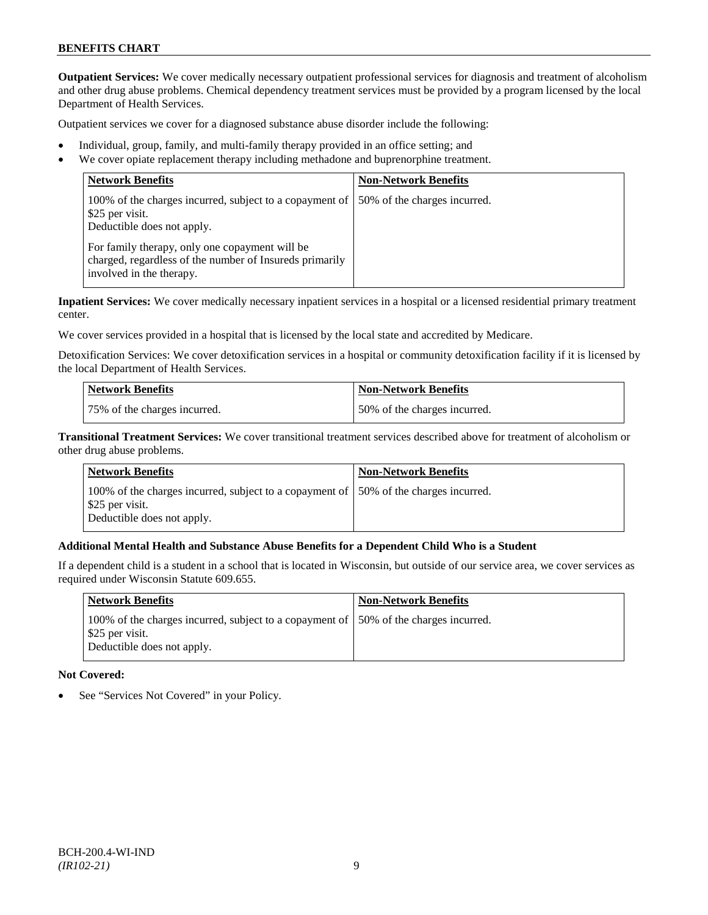**Outpatient Services:** We cover medically necessary outpatient professional services for diagnosis and treatment of alcoholism and other drug abuse problems. Chemical dependency treatment services must be provided by a program licensed by the local Department of Health Services.

Outpatient services we cover for a diagnosed substance abuse disorder include the following:

- Individual, group, family, and multi-family therapy provided in an office setting; and
- We cover opiate replacement therapy including methadone and buprenorphine treatment.

| <b>Network Benefits</b>                                                                                                               | <b>Non-Network Benefits</b>  |
|---------------------------------------------------------------------------------------------------------------------------------------|------------------------------|
| 100% of the charges incurred, subject to a copayment of<br>\$25 per visit.<br>Deductible does not apply.                              | 50% of the charges incurred. |
| For family therapy, only one copayment will be<br>charged, regardless of the number of Insureds primarily<br>involved in the therapy. |                              |

**Inpatient Services:** We cover medically necessary inpatient services in a hospital or a licensed residential primary treatment center.

We cover services provided in a hospital that is licensed by the local state and accredited by Medicare.

Detoxification Services: We cover detoxification services in a hospital or community detoxification facility if it is licensed by the local Department of Health Services.

| Network Benefits             | <b>Non-Network Benefits</b>  |
|------------------------------|------------------------------|
| 75% of the charges incurred. | 50% of the charges incurred. |

**Transitional Treatment Services:** We cover transitional treatment services described above for treatment of alcoholism or other drug abuse problems.

| Network Benefits                                                                                                                      | <b>Non-Network Benefits</b> |
|---------------------------------------------------------------------------------------------------------------------------------------|-----------------------------|
| 100% of the charges incurred, subject to a copayment of 50% of the charges incurred.<br>\$25 per visit.<br>Deductible does not apply. |                             |

# **Additional Mental Health and Substance Abuse Benefits for a Dependent Child Who is a Student**

If a dependent child is a student in a school that is located in Wisconsin, but outside of our service area, we cover services as required under Wisconsin Statute 609.655.

| Network Benefits                                                                                                                       | <b>Non-Network Benefits</b> |
|----------------------------------------------------------------------------------------------------------------------------------------|-----------------------------|
| 100% of the charges incurred, subject to a copayment of 150% of the charges incurred.<br>\$25 per visit.<br>Deductible does not apply. |                             |

#### **Not Covered:**

See "Services Not Covered" in your Policy.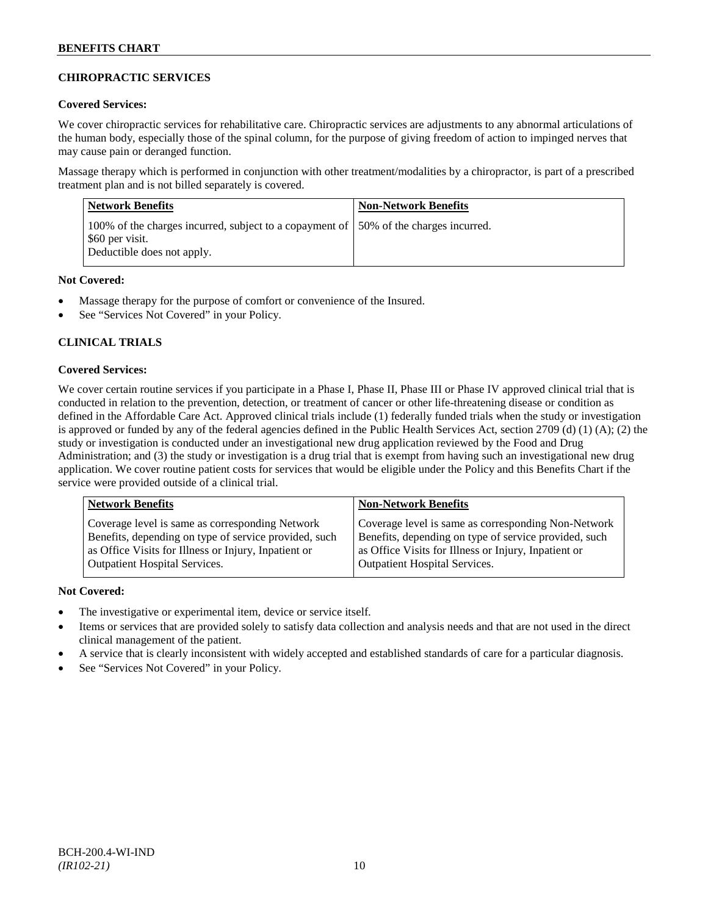# **CHIROPRACTIC SERVICES**

# **Covered Services:**

We cover chiropractic services for rehabilitative care. Chiropractic services are adjustments to any abnormal articulations of the human body, especially those of the spinal column, for the purpose of giving freedom of action to impinged nerves that may cause pain or deranged function.

Massage therapy which is performed in conjunction with other treatment/modalities by a chiropractor, is part of a prescribed treatment plan and is not billed separately is covered.

| <b>Network Benefits</b>                                                                                                                | <b>Non-Network Benefits</b> |
|----------------------------------------------------------------------------------------------------------------------------------------|-----------------------------|
| 100% of the charges incurred, subject to a copayment of 150% of the charges incurred.<br>\$60 per visit.<br>Deductible does not apply. |                             |

# **Not Covered:**

- Massage therapy for the purpose of comfort or convenience of the Insured.
- See "Services Not Covered" in your Policy.

# **CLINICAL TRIALS**

# **Covered Services:**

We cover certain routine services if you participate in a Phase I, Phase II, Phase III or Phase IV approved clinical trial that is conducted in relation to the prevention, detection, or treatment of cancer or other life-threatening disease or condition as defined in the Affordable Care Act. Approved clinical trials include (1) federally funded trials when the study or investigation is approved or funded by any of the federal agencies defined in the Public Health Services Act, section 2709 (d) (1) (A); (2) the study or investigation is conducted under an investigational new drug application reviewed by the Food and Drug Administration; and (3) the study or investigation is a drug trial that is exempt from having such an investigational new drug application. We cover routine patient costs for services that would be eligible under the Policy and this Benefits Chart if the service were provided outside of a clinical trial.

| <b>Network Benefits</b>                               | <b>Non-Network Benefits</b>                           |
|-------------------------------------------------------|-------------------------------------------------------|
| Coverage level is same as corresponding Network       | Coverage level is same as corresponding Non-Network   |
| Benefits, depending on type of service provided, such | Benefits, depending on type of service provided, such |
| as Office Visits for Illness or Injury, Inpatient or  | as Office Visits for Illness or Injury, Inpatient or  |
| <b>Outpatient Hospital Services.</b>                  | <b>Outpatient Hospital Services.</b>                  |

# **Not Covered:**

- The investigative or experimental item, device or service itself.
- Items or services that are provided solely to satisfy data collection and analysis needs and that are not used in the direct clinical management of the patient.
- A service that is clearly inconsistent with widely accepted and established standards of care for a particular diagnosis.
- See "Services Not Covered" in your Policy.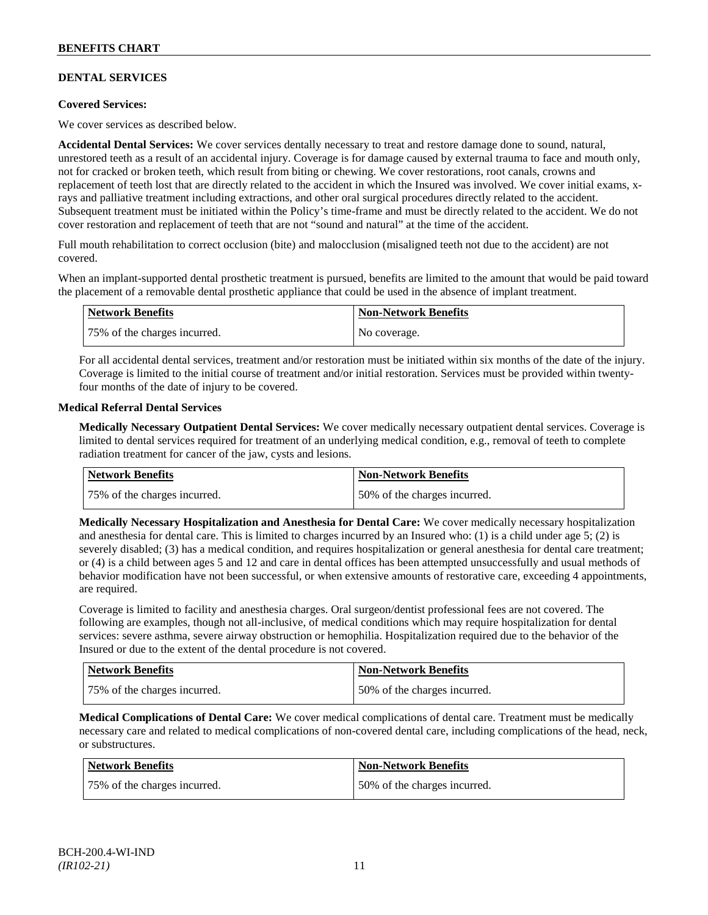# **DENTAL SERVICES**

# **Covered Services:**

We cover services as described below.

**Accidental Dental Services:** We cover services dentally necessary to treat and restore damage done to sound, natural, unrestored teeth as a result of an accidental injury. Coverage is for damage caused by external trauma to face and mouth only, not for cracked or broken teeth, which result from biting or chewing. We cover restorations, root canals, crowns and replacement of teeth lost that are directly related to the accident in which the Insured was involved. We cover initial exams, xrays and palliative treatment including extractions, and other oral surgical procedures directly related to the accident. Subsequent treatment must be initiated within the Policy's time-frame and must be directly related to the accident. We do not cover restoration and replacement of teeth that are not "sound and natural" at the time of the accident.

Full mouth rehabilitation to correct occlusion (bite) and malocclusion (misaligned teeth not due to the accident) are not covered.

When an implant-supported dental prosthetic treatment is pursued, benefits are limited to the amount that would be paid toward the placement of a removable dental prosthetic appliance that could be used in the absence of implant treatment.

| Network Benefits             | <b>Non-Network Benefits</b> |
|------------------------------|-----------------------------|
| 75% of the charges incurred. | No coverage.                |

For all accidental dental services, treatment and/or restoration must be initiated within six months of the date of the injury. Coverage is limited to the initial course of treatment and/or initial restoration. Services must be provided within twentyfour months of the date of injury to be covered.

#### **Medical Referral Dental Services**

**Medically Necessary Outpatient Dental Services:** We cover medically necessary outpatient dental services. Coverage is limited to dental services required for treatment of an underlying medical condition, e.g., removal of teeth to complete radiation treatment for cancer of the jaw, cysts and lesions.

| Network Benefits             | <b>Non-Network Benefits</b>  |
|------------------------------|------------------------------|
| 75% of the charges incurred. | 50% of the charges incurred. |

**Medically Necessary Hospitalization and Anesthesia for Dental Care:** We cover medically necessary hospitalization and anesthesia for dental care. This is limited to charges incurred by an Insured who: (1) is a child under age  $5$ ; (2) is severely disabled; (3) has a medical condition, and requires hospitalization or general anesthesia for dental care treatment; or (4) is a child between ages 5 and 12 and care in dental offices has been attempted unsuccessfully and usual methods of behavior modification have not been successful, or when extensive amounts of restorative care, exceeding 4 appointments, are required.

Coverage is limited to facility and anesthesia charges. Oral surgeon/dentist professional fees are not covered. The following are examples, though not all-inclusive, of medical conditions which may require hospitalization for dental services: severe asthma, severe airway obstruction or hemophilia. Hospitalization required due to the behavior of the Insured or due to the extent of the dental procedure is not covered.

| Network Benefits             | <b>Non-Network Benefits</b>  |
|------------------------------|------------------------------|
| 75% of the charges incurred. | 50% of the charges incurred. |

**Medical Complications of Dental Care:** We cover medical complications of dental care. Treatment must be medically necessary care and related to medical complications of non-covered dental care, including complications of the head, neck, or substructures.

| Network Benefits             | <b>Non-Network Benefits</b>  |
|------------------------------|------------------------------|
| 75% of the charges incurred. | 50% of the charges incurred. |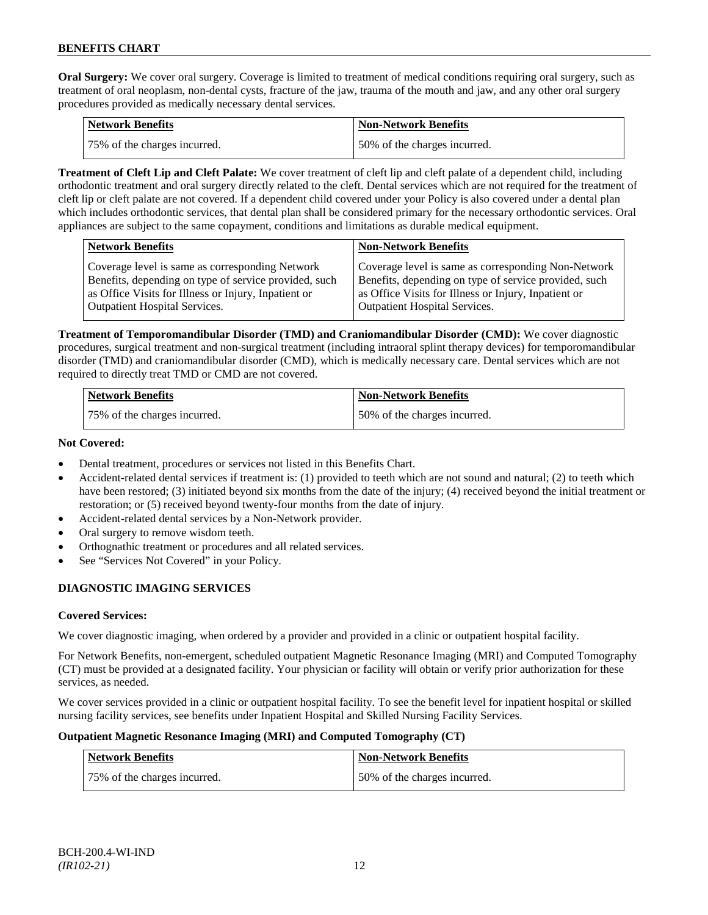**Oral Surgery:** We cover oral surgery. Coverage is limited to treatment of medical conditions requiring oral surgery, such as treatment of oral neoplasm, non-dental cysts, fracture of the jaw, trauma of the mouth and jaw, and any other oral surgery procedures provided as medically necessary dental services.

| Network Benefits             | <b>Non-Network Benefits</b>  |
|------------------------------|------------------------------|
| 75% of the charges incurred. | 50% of the charges incurred. |

**Treatment of Cleft Lip and Cleft Palate:** We cover treatment of cleft lip and cleft palate of a dependent child, including orthodontic treatment and oral surgery directly related to the cleft. Dental services which are not required for the treatment of cleft lip or cleft palate are not covered. If a dependent child covered under your Policy is also covered under a dental plan which includes orthodontic services, that dental plan shall be considered primary for the necessary orthodontic services. Oral appliances are subject to the same copayment, conditions and limitations as durable medical equipment.

| Coverage level is same as corresponding Network<br>Coverage level is same as corresponding Non-Network<br>Benefits, depending on type of service provided, such<br>Benefits, depending on type of service provided, such<br>as Office Visits for Illness or Injury, Inpatient or<br>as Office Visits for Illness or Injury, Inpatient or | <b>Network Benefits</b>              | <b>Non-Network Benefits</b>          |
|------------------------------------------------------------------------------------------------------------------------------------------------------------------------------------------------------------------------------------------------------------------------------------------------------------------------------------------|--------------------------------------|--------------------------------------|
|                                                                                                                                                                                                                                                                                                                                          | <b>Outpatient Hospital Services.</b> | <b>Outpatient Hospital Services.</b> |

**Treatment of Temporomandibular Disorder (TMD) and Craniomandibular Disorder (CMD):** We cover diagnostic procedures, surgical treatment and non-surgical treatment (including intraoral splint therapy devices) for temporomandibular disorder (TMD) and craniomandibular disorder (CMD), which is medically necessary care. Dental services which are not required to directly treat TMD or CMD are not covered.

| <b>Network Benefits</b>      | <b>Non-Network Benefits</b>  |
|------------------------------|------------------------------|
| 75% of the charges incurred. | 50% of the charges incurred. |

# **Not Covered:**

- Dental treatment, procedures or services not listed in this Benefits Chart.
- Accident-related dental services if treatment is: (1) provided to teeth which are not sound and natural; (2) to teeth which have been restored; (3) initiated beyond six months from the date of the injury; (4) received beyond the initial treatment or restoration; or (5) received beyond twenty-four months from the date of injury.
- Accident-related dental services by a Non-Network provider.
- Oral surgery to remove wisdom teeth.
- Orthognathic treatment or procedures and all related services.
- See "Services Not Covered" in your Policy.

# **DIAGNOSTIC IMAGING SERVICES**

# **Covered Services:**

We cover diagnostic imaging, when ordered by a provider and provided in a clinic or outpatient hospital facility.

For Network Benefits, non-emergent, scheduled outpatient Magnetic Resonance Imaging (MRI) and Computed Tomography (CT) must be provided at a designated facility. Your physician or facility will obtain or verify prior authorization for these services, as needed.

We cover services provided in a clinic or outpatient hospital facility. To see the benefit level for inpatient hospital or skilled nursing facility services, see benefits under Inpatient Hospital and Skilled Nursing Facility Services.

# **Outpatient Magnetic Resonance Imaging (MRI) and Computed Tomography (CT)**

| <b>Network Benefits</b>      | <b>Non-Network Benefits</b>  |
|------------------------------|------------------------------|
| 75% of the charges incurred. | 50% of the charges incurred. |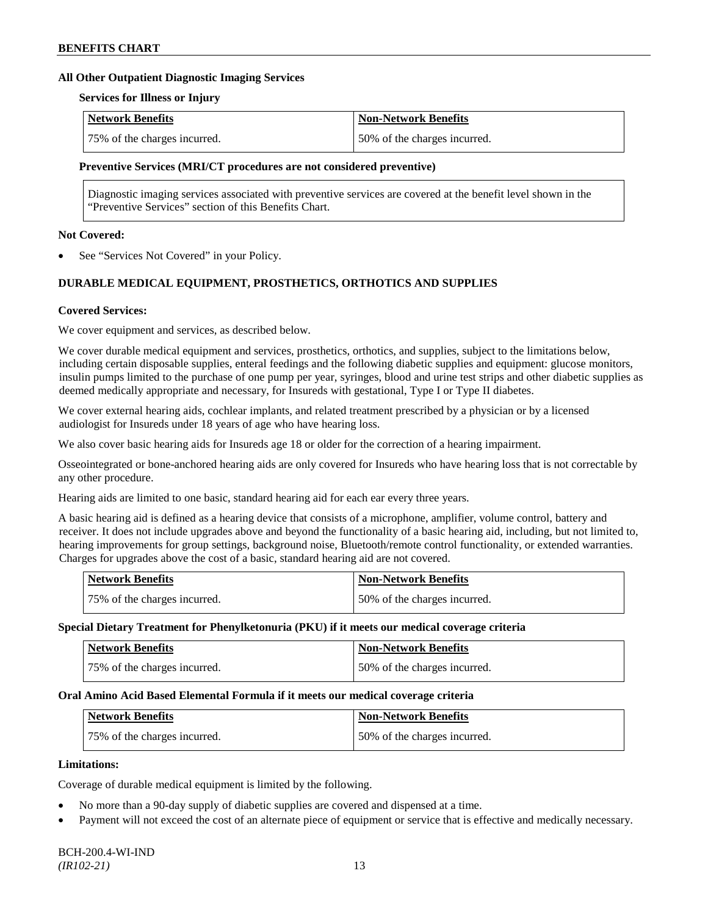#### **All Other Outpatient Diagnostic Imaging Services**

#### **Services for Illness or Injury**

| Network Benefits             | <b>Non-Network Benefits</b>  |
|------------------------------|------------------------------|
| 75% of the charges incurred. | 50% of the charges incurred. |

#### **Preventive Services (MRI/CT procedures are not considered preventive)**

Diagnostic imaging services associated with preventive services are covered at the benefit level shown in the "Preventive Services" section of this Benefits Chart.

#### **Not Covered:**

See "Services Not Covered" in your Policy.

# **DURABLE MEDICAL EQUIPMENT, PROSTHETICS, ORTHOTICS AND SUPPLIES**

#### **Covered Services:**

We cover equipment and services, as described below.

We cover durable medical equipment and services, prosthetics, orthotics, and supplies, subject to the limitations below, including certain disposable supplies, enteral feedings and the following diabetic supplies and equipment: glucose monitors, insulin pumps limited to the purchase of one pump per year, syringes, blood and urine test strips and other diabetic supplies as deemed medically appropriate and necessary, for Insureds with gestational, Type I or Type II diabetes.

We cover external hearing aids, cochlear implants, and related treatment prescribed by a physician or by a licensed audiologist for Insureds under 18 years of age who have hearing loss.

We also cover basic hearing aids for Insureds age 18 or older for the correction of a hearing impairment.

Osseointegrated or bone-anchored hearing aids are only covered for Insureds who have hearing loss that is not correctable by any other procedure.

Hearing aids are limited to one basic, standard hearing aid for each ear every three years.

A basic hearing aid is defined as a hearing device that consists of a microphone, amplifier, volume control, battery and receiver. It does not include upgrades above and beyond the functionality of a basic hearing aid, including, but not limited to, hearing improvements for group settings, background noise, Bluetooth/remote control functionality, or extended warranties. Charges for upgrades above the cost of a basic, standard hearing aid are not covered.

| <b>Network Benefits</b>      | <b>Non-Network Benefits</b>  |
|------------------------------|------------------------------|
| 75% of the charges incurred. | 50% of the charges incurred. |

#### **Special Dietary Treatment for Phenylketonuria (PKU) if it meets our medical coverage criteria**

| <b>Network Benefits</b>      | <b>Non-Network Benefits</b>  |
|------------------------------|------------------------------|
| 75% of the charges incurred. | 50% of the charges incurred. |

#### **Oral Amino Acid Based Elemental Formula if it meets our medical coverage criteria**

| Network Benefits             | 'Non-Network Benefits        |
|------------------------------|------------------------------|
| 75% of the charges incurred. | 50% of the charges incurred. |

#### **Limitations:**

Coverage of durable medical equipment is limited by the following.

- No more than a 90-day supply of diabetic supplies are covered and dispensed at a time.
- Payment will not exceed the cost of an alternate piece of equipment or service that is effective and medically necessary.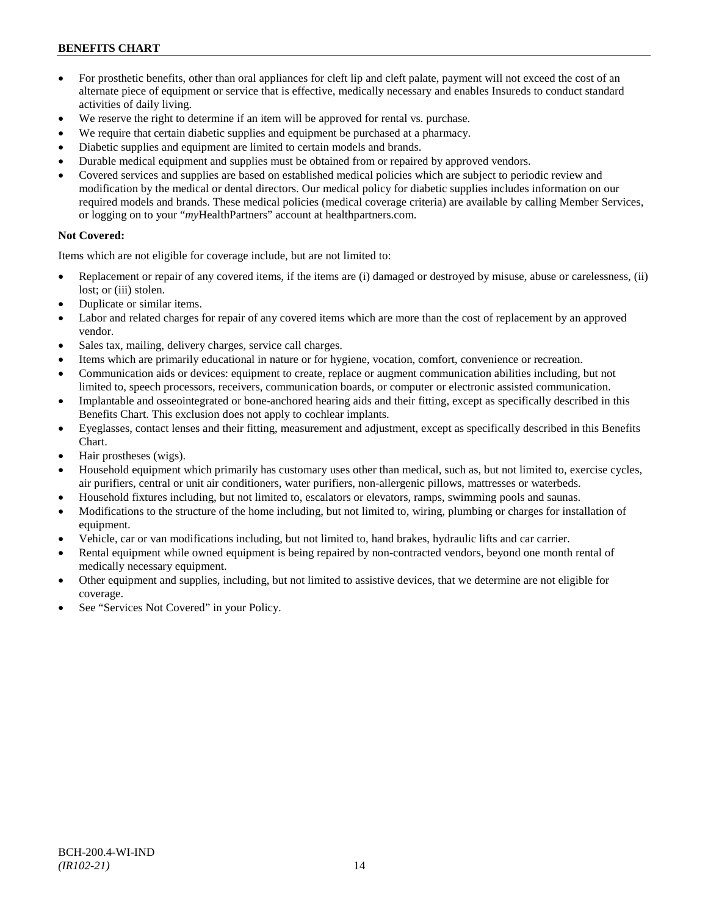- For prosthetic benefits, other than oral appliances for cleft lip and cleft palate, payment will not exceed the cost of an alternate piece of equipment or service that is effective, medically necessary and enables Insureds to conduct standard activities of daily living.
- We reserve the right to determine if an item will be approved for rental vs. purchase.
- We require that certain diabetic supplies and equipment be purchased at a pharmacy.
- Diabetic supplies and equipment are limited to certain models and brands.
- Durable medical equipment and supplies must be obtained from or repaired by approved vendors.
- Covered services and supplies are based on established medical policies which are subject to periodic review and modification by the medical or dental directors. Our medical policy for diabetic supplies includes information on our required models and brands. These medical policies (medical coverage criteria) are available by calling Member Services, or logging on to your "*my*HealthPartners" account a[t healthpartners.com.](http://www.healthpartners.com/)

# **Not Covered:**

Items which are not eligible for coverage include, but are not limited to:

- Replacement or repair of any covered items, if the items are (i) damaged or destroyed by misuse, abuse or carelessness, (ii) lost; or (iii) stolen.
- Duplicate or similar items.
- Labor and related charges for repair of any covered items which are more than the cost of replacement by an approved vendor.
- Sales tax, mailing, delivery charges, service call charges.
- Items which are primarily educational in nature or for hygiene, vocation, comfort, convenience or recreation.
- Communication aids or devices: equipment to create, replace or augment communication abilities including, but not limited to, speech processors, receivers, communication boards, or computer or electronic assisted communication.
- Implantable and osseointegrated or bone-anchored hearing aids and their fitting, except as specifically described in this Benefits Chart. This exclusion does not apply to cochlear implants.
- Eyeglasses, contact lenses and their fitting, measurement and adjustment, except as specifically described in this Benefits Chart.
- Hair prostheses (wigs).
- Household equipment which primarily has customary uses other than medical, such as, but not limited to, exercise cycles, air purifiers, central or unit air conditioners, water purifiers, non-allergenic pillows, mattresses or waterbeds.
- Household fixtures including, but not limited to, escalators or elevators, ramps, swimming pools and saunas.
- Modifications to the structure of the home including, but not limited to, wiring, plumbing or charges for installation of equipment.
- Vehicle, car or van modifications including, but not limited to, hand brakes, hydraulic lifts and car carrier.
- Rental equipment while owned equipment is being repaired by non-contracted vendors, beyond one month rental of medically necessary equipment.
- Other equipment and supplies, including, but not limited to assistive devices, that we determine are not eligible for coverage.
- See "Services Not Covered" in your Policy.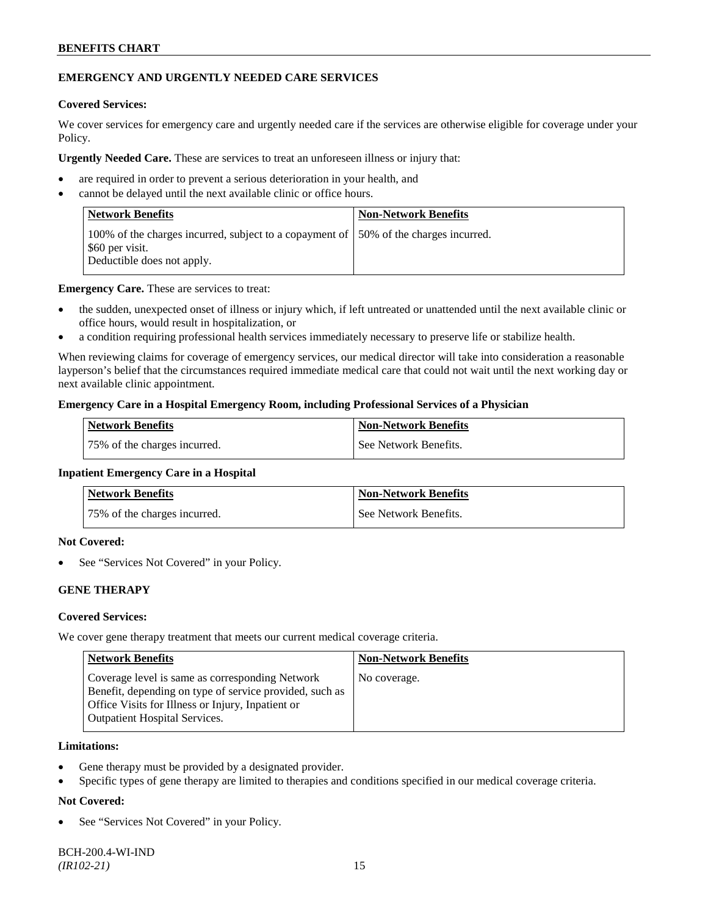# **EMERGENCY AND URGENTLY NEEDED CARE SERVICES**

### **Covered Services:**

We cover services for emergency care and urgently needed care if the services are otherwise eligible for coverage under your Policy.

**Urgently Needed Care.** These are services to treat an unforeseen illness or injury that:

- are required in order to prevent a serious deterioration in your health, and
- cannot be delayed until the next available clinic or office hours.

| <b>Network Benefits</b>                                                                                                                | <b>Non-Network Benefits</b> |
|----------------------------------------------------------------------------------------------------------------------------------------|-----------------------------|
| 100% of the charges incurred, subject to a copayment of 150% of the charges incurred.<br>\$60 per visit.<br>Deductible does not apply. |                             |

**Emergency Care.** These are services to treat:

- the sudden, unexpected onset of illness or injury which, if left untreated or unattended until the next available clinic or office hours, would result in hospitalization, or
- a condition requiring professional health services immediately necessary to preserve life or stabilize health.

When reviewing claims for coverage of emergency services, our medical director will take into consideration a reasonable layperson's belief that the circumstances required immediate medical care that could not wait until the next working day or next available clinic appointment.

#### **Emergency Care in a Hospital Emergency Room, including Professional Services of a Physician**

| Network Benefits             | <b>Non-Network Benefits</b> |
|------------------------------|-----------------------------|
| 75% of the charges incurred. | See Network Benefits.       |

#### **Inpatient Emergency Care in a Hospital**

| <b>Network Benefits</b>      | <b>Non-Network Benefits</b> |
|------------------------------|-----------------------------|
| 75% of the charges incurred. | See Network Benefits.       |

### **Not Covered:**

See "Services Not Covered" in your Policy.

# **GENE THERAPY**

# **Covered Services:**

We cover gene therapy treatment that meets our current medical coverage criteria.

| <b>Network Benefits</b>                                                                                                                                                                                 | <b>Non-Network Benefits</b> |
|---------------------------------------------------------------------------------------------------------------------------------------------------------------------------------------------------------|-----------------------------|
| Coverage level is same as corresponding Network<br>Benefit, depending on type of service provided, such as<br>Office Visits for Illness or Injury, Inpatient or<br><b>Outpatient Hospital Services.</b> | No coverage.                |

### **Limitations:**

- Gene therapy must be provided by a designated provider.
- Specific types of gene therapy are limited to therapies and conditions specified in our medical coverage criteria.

# **Not Covered:**

See "Services Not Covered" in your Policy.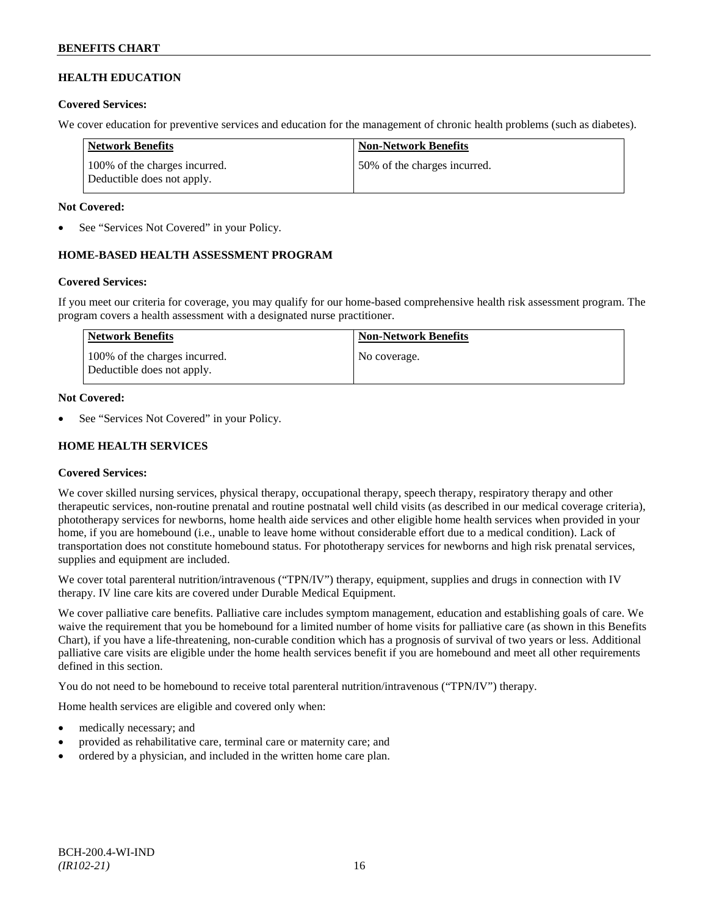# **HEALTH EDUCATION**

### **Covered Services:**

We cover education for preventive services and education for the management of chronic health problems (such as diabetes).

| Network Benefits                                            | <b>Non-Network Benefits</b>  |
|-------------------------------------------------------------|------------------------------|
| 100% of the charges incurred.<br>Deductible does not apply. | 50% of the charges incurred. |

### **Not Covered:**

See "Services Not Covered" in your Policy.

# **HOME-BASED HEALTH ASSESSMENT PROGRAM**

# **Covered Services:**

If you meet our criteria for coverage, you may qualify for our home-based comprehensive health risk assessment program. The program covers a health assessment with a designated nurse practitioner.

| <b>Network Benefits</b>                                     | <b>Non-Network Benefits</b> |
|-------------------------------------------------------------|-----------------------------|
| 100% of the charges incurred.<br>Deductible does not apply. | No coverage.                |

#### **Not Covered:**

See "Services Not Covered" in your Policy.

# **HOME HEALTH SERVICES**

# **Covered Services:**

We cover skilled nursing services, physical therapy, occupational therapy, speech therapy, respiratory therapy and other therapeutic services, non-routine prenatal and routine postnatal well child visits (as described in our medical coverage criteria), phototherapy services for newborns, home health aide services and other eligible home health services when provided in your home, if you are homebound (i.e., unable to leave home without considerable effort due to a medical condition). Lack of transportation does not constitute homebound status. For phototherapy services for newborns and high risk prenatal services, supplies and equipment are included.

We cover total parenteral nutrition/intravenous ("TPN/IV") therapy, equipment, supplies and drugs in connection with IV therapy. IV line care kits are covered under Durable Medical Equipment.

We cover palliative care benefits. Palliative care includes symptom management, education and establishing goals of care. We waive the requirement that you be homebound for a limited number of home visits for palliative care (as shown in this Benefits Chart), if you have a life-threatening, non-curable condition which has a prognosis of survival of two years or less. Additional palliative care visits are eligible under the home health services benefit if you are homebound and meet all other requirements defined in this section.

You do not need to be homebound to receive total parenteral nutrition/intravenous ("TPN/IV") therapy.

Home health services are eligible and covered only when:

- medically necessary; and
- provided as rehabilitative care, terminal care or maternity care; and
- ordered by a physician, and included in the written home care plan.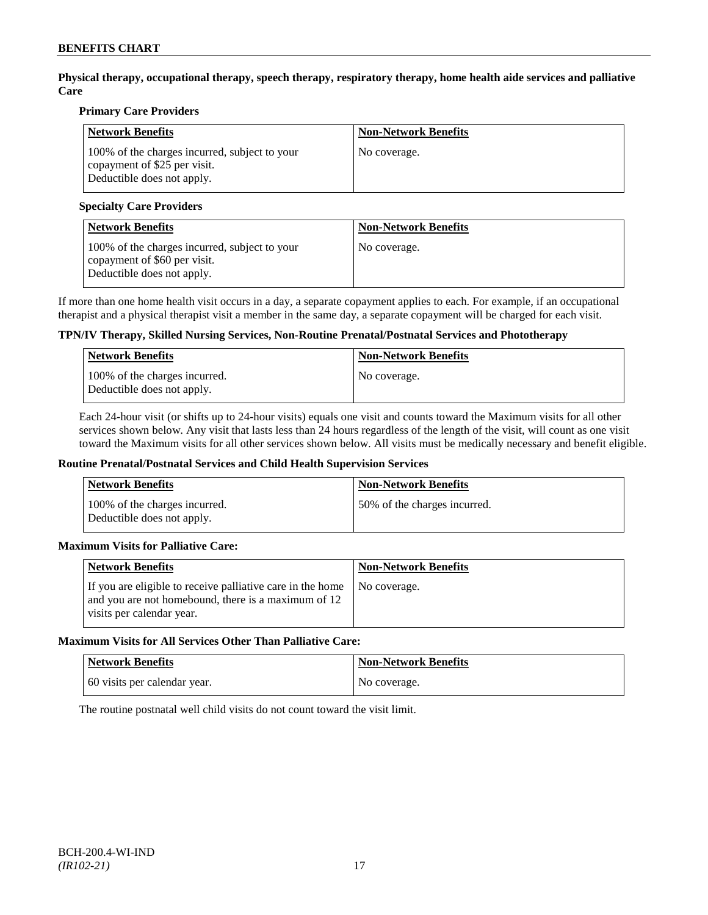**Physical therapy, occupational therapy, speech therapy, respiratory therapy, home health aide services and palliative Care**

### **Primary Care Providers**

| <b>Network Benefits</b>                                                                                     | <b>Non-Network Benefits</b> |
|-------------------------------------------------------------------------------------------------------------|-----------------------------|
| 100% of the charges incurred, subject to your<br>copayment of \$25 per visit.<br>Deductible does not apply. | No coverage.                |

### **Specialty Care Providers**

| <b>Network Benefits</b>                                                                                     | <b>Non-Network Benefits</b> |
|-------------------------------------------------------------------------------------------------------------|-----------------------------|
| 100% of the charges incurred, subject to your<br>copayment of \$60 per visit.<br>Deductible does not apply. | No coverage.                |

If more than one home health visit occurs in a day, a separate copayment applies to each. For example, if an occupational therapist and a physical therapist visit a member in the same day, a separate copayment will be charged for each visit.

# **TPN/IV Therapy, Skilled Nursing Services, Non-Routine Prenatal/Postnatal Services and Phototherapy**

| Network Benefits                                            | <b>Non-Network Benefits</b> |
|-------------------------------------------------------------|-----------------------------|
| 100% of the charges incurred.<br>Deductible does not apply. | No coverage.                |

Each 24-hour visit (or shifts up to 24-hour visits) equals one visit and counts toward the Maximum visits for all other services shown below. Any visit that lasts less than 24 hours regardless of the length of the visit, will count as one visit toward the Maximum visits for all other services shown below. All visits must be medically necessary and benefit eligible.

#### **Routine Prenatal/Postnatal Services and Child Health Supervision Services**

| Network Benefits                                            | <b>Non-Network Benefits</b>  |
|-------------------------------------------------------------|------------------------------|
| 100% of the charges incurred.<br>Deductible does not apply. | 50% of the charges incurred. |

# **Maximum Visits for Palliative Care:**

| <b>Network Benefits</b>                                                                                                                        | <b>Non-Network Benefits</b> |
|------------------------------------------------------------------------------------------------------------------------------------------------|-----------------------------|
| If you are eligible to receive palliative care in the home<br>and you are not homebound, there is a maximum of 12<br>visits per calendar year. | No coverage.                |

#### **Maximum Visits for All Services Other Than Palliative Care:**

| Network Benefits             | <b>Non-Network Benefits</b> |
|------------------------------|-----------------------------|
| 60 visits per calendar year. | No coverage.                |

The routine postnatal well child visits do not count toward the visit limit.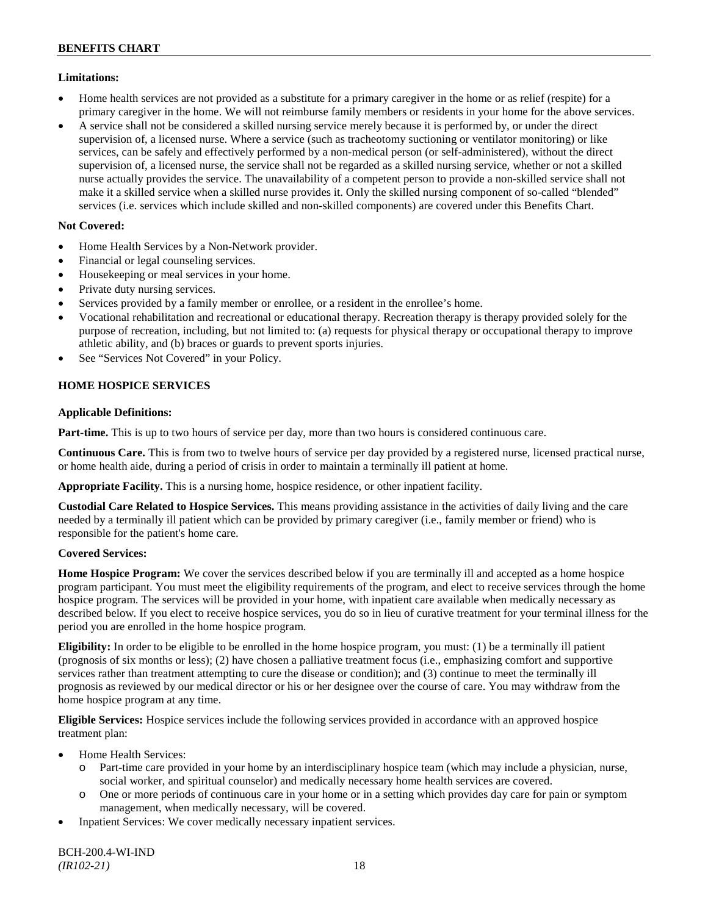# **Limitations:**

- Home health services are not provided as a substitute for a primary caregiver in the home or as relief (respite) for a primary caregiver in the home. We will not reimburse family members or residents in your home for the above services.
- A service shall not be considered a skilled nursing service merely because it is performed by, or under the direct supervision of, a licensed nurse. Where a service (such as tracheotomy suctioning or ventilator monitoring) or like services, can be safely and effectively performed by a non-medical person (or self-administered), without the direct supervision of, a licensed nurse, the service shall not be regarded as a skilled nursing service, whether or not a skilled nurse actually provides the service. The unavailability of a competent person to provide a non-skilled service shall not make it a skilled service when a skilled nurse provides it. Only the skilled nursing component of so-called "blended" services (i.e. services which include skilled and non-skilled components) are covered under this Benefits Chart.

# **Not Covered:**

- Home Health Services by a Non-Network provider.
- Financial or legal counseling services.
- Housekeeping or meal services in your home.
- Private duty nursing services.
- Services provided by a family member or enrollee, or a resident in the enrollee's home.
- Vocational rehabilitation and recreational or educational therapy. Recreation therapy is therapy provided solely for the purpose of recreation, including, but not limited to: (a) requests for physical therapy or occupational therapy to improve athletic ability, and (b) braces or guards to prevent sports injuries.
- See "Services Not Covered" in your Policy.

# **HOME HOSPICE SERVICES**

# **Applicable Definitions:**

**Part-time.** This is up to two hours of service per day, more than two hours is considered continuous care.

**Continuous Care.** This is from two to twelve hours of service per day provided by a registered nurse, licensed practical nurse, or home health aide, during a period of crisis in order to maintain a terminally ill patient at home.

**Appropriate Facility.** This is a nursing home, hospice residence, or other inpatient facility.

**Custodial Care Related to Hospice Services.** This means providing assistance in the activities of daily living and the care needed by a terminally ill patient which can be provided by primary caregiver (i.e., family member or friend) who is responsible for the patient's home care.

# **Covered Services:**

**Home Hospice Program:** We cover the services described below if you are terminally ill and accepted as a home hospice program participant. You must meet the eligibility requirements of the program, and elect to receive services through the home hospice program. The services will be provided in your home, with inpatient care available when medically necessary as described below. If you elect to receive hospice services, you do so in lieu of curative treatment for your terminal illness for the period you are enrolled in the home hospice program.

**Eligibility:** In order to be eligible to be enrolled in the home hospice program, you must: (1) be a terminally ill patient (prognosis of six months or less); (2) have chosen a palliative treatment focus (i.e., emphasizing comfort and supportive services rather than treatment attempting to cure the disease or condition); and (3) continue to meet the terminally ill prognosis as reviewed by our medical director or his or her designee over the course of care. You may withdraw from the home hospice program at any time.

**Eligible Services:** Hospice services include the following services provided in accordance with an approved hospice treatment plan:

- Home Health Services:
	- o Part-time care provided in your home by an interdisciplinary hospice team (which may include a physician, nurse, social worker, and spiritual counselor) and medically necessary home health services are covered.
	- o One or more periods of continuous care in your home or in a setting which provides day care for pain or symptom management, when medically necessary, will be covered.
- Inpatient Services: We cover medically necessary inpatient services.

BCH-200.4-WI-IND *(IR102-21)* 18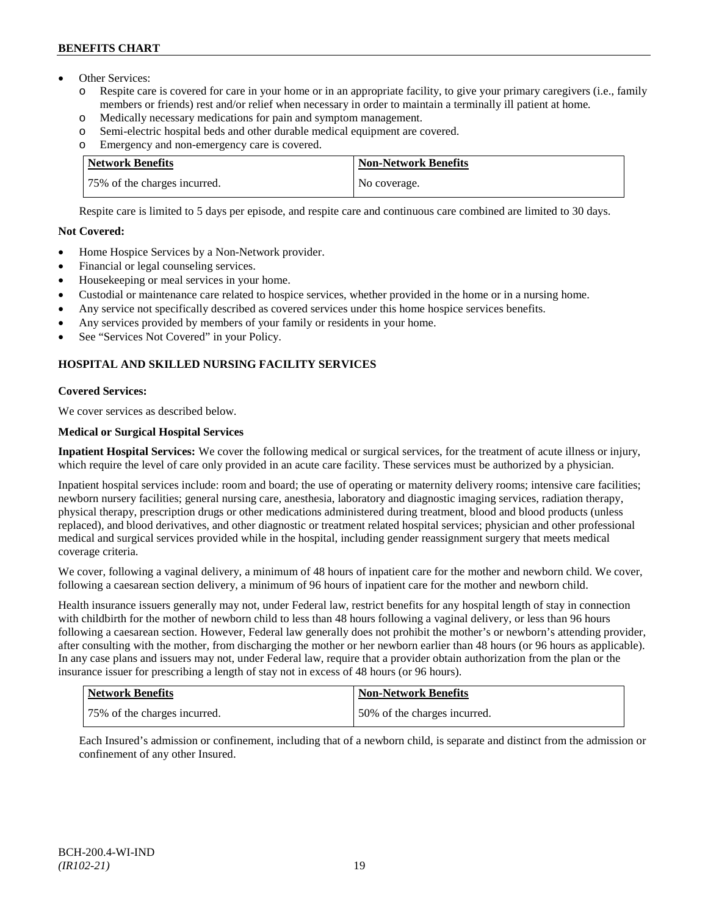- Other Services:
	- o Respite care is covered for care in your home or in an appropriate facility, to give your primary caregivers (i.e., family members or friends) rest and/or relief when necessary in order to maintain a terminally ill patient at home*.*
	- o Medically necessary medications for pain and symptom management.
	- o Semi-electric hospital beds and other durable medical equipment are covered.
	- o Emergency and non-emergency care is covered.

| <b>Network Benefits</b>      | <b>Non-Network Benefits</b> |
|------------------------------|-----------------------------|
| 75% of the charges incurred. | No coverage.                |

Respite care is limited to 5 days per episode, and respite care and continuous care combined are limited to 30 days.

# **Not Covered:**

- Home Hospice Services by a Non-Network provider.
- Financial or legal counseling services.
- Housekeeping or meal services in your home.
- Custodial or maintenance care related to hospice services, whether provided in the home or in a nursing home.
- Any service not specifically described as covered services under this home hospice services benefits.
- Any services provided by members of your family or residents in your home.
- See "Services Not Covered" in your Policy.

# **HOSPITAL AND SKILLED NURSING FACILITY SERVICES**

# **Covered Services:**

We cover services as described below.

# **Medical or Surgical Hospital Services**

**Inpatient Hospital Services:** We cover the following medical or surgical services, for the treatment of acute illness or injury, which require the level of care only provided in an acute care facility. These services must be authorized by a physician.

Inpatient hospital services include: room and board; the use of operating or maternity delivery rooms; intensive care facilities; newborn nursery facilities; general nursing care, anesthesia, laboratory and diagnostic imaging services, radiation therapy, physical therapy, prescription drugs or other medications administered during treatment, blood and blood products (unless replaced), and blood derivatives, and other diagnostic or treatment related hospital services; physician and other professional medical and surgical services provided while in the hospital, including gender reassignment surgery that meets medical coverage criteria.

We cover, following a vaginal delivery, a minimum of 48 hours of inpatient care for the mother and newborn child. We cover, following a caesarean section delivery, a minimum of 96 hours of inpatient care for the mother and newborn child.

Health insurance issuers generally may not, under Federal law, restrict benefits for any hospital length of stay in connection with childbirth for the mother of newborn child to less than 48 hours following a vaginal delivery, or less than 96 hours following a caesarean section. However, Federal law generally does not prohibit the mother's or newborn's attending provider, after consulting with the mother, from discharging the mother or her newborn earlier than 48 hours (or 96 hours as applicable). In any case plans and issuers may not, under Federal law, require that a provider obtain authorization from the plan or the insurance issuer for prescribing a length of stay not in excess of 48 hours (or 96 hours).

| Network Benefits             | <b>Non-Network Benefits</b>  |
|------------------------------|------------------------------|
| 75% of the charges incurred. | 50% of the charges incurred. |

Each Insured's admission or confinement, including that of a newborn child, is separate and distinct from the admission or confinement of any other Insured.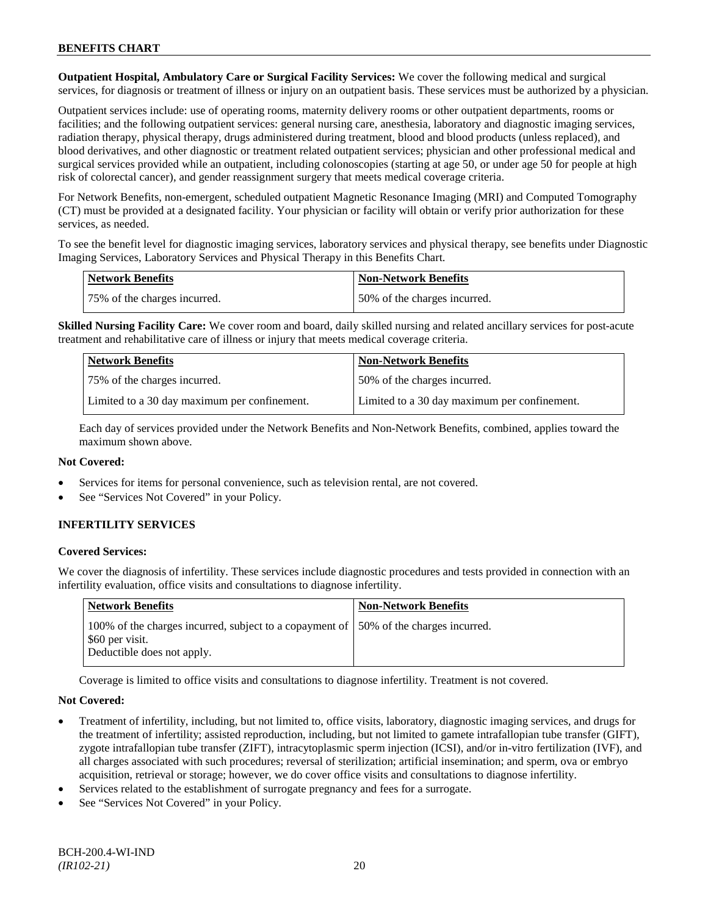**Outpatient Hospital, Ambulatory Care or Surgical Facility Services:** We cover the following medical and surgical services, for diagnosis or treatment of illness or injury on an outpatient basis. These services must be authorized by a physician.

Outpatient services include: use of operating rooms, maternity delivery rooms or other outpatient departments, rooms or facilities; and the following outpatient services: general nursing care, anesthesia, laboratory and diagnostic imaging services, radiation therapy, physical therapy, drugs administered during treatment, blood and blood products (unless replaced), and blood derivatives, and other diagnostic or treatment related outpatient services; physician and other professional medical and surgical services provided while an outpatient, including colonoscopies (starting at age 50, or under age 50 for people at high risk of colorectal cancer), and gender reassignment surgery that meets medical coverage criteria.

For Network Benefits, non-emergent, scheduled outpatient Magnetic Resonance Imaging (MRI) and Computed Tomography (CT) must be provided at a designated facility. Your physician or facility will obtain or verify prior authorization for these services, as needed.

To see the benefit level for diagnostic imaging services, laboratory services and physical therapy, see benefits under Diagnostic Imaging Services, Laboratory Services and Physical Therapy in this Benefits Chart.

| <b>Network Benefits</b>      | Non-Network Benefits         |
|------------------------------|------------------------------|
| 75% of the charges incurred. | 50% of the charges incurred. |

**Skilled Nursing Facility Care:** We cover room and board, daily skilled nursing and related ancillary services for post-acute treatment and rehabilitative care of illness or injury that meets medical coverage criteria.

| <b>Network Benefits</b>                      | <b>Non-Network Benefits</b>                  |
|----------------------------------------------|----------------------------------------------|
| 75% of the charges incurred.                 | 150% of the charges incurred.                |
| Limited to a 30 day maximum per confinement. | Limited to a 30 day maximum per confinement. |

Each day of services provided under the Network Benefits and Non-Network Benefits, combined, applies toward the maximum shown above.

# **Not Covered:**

- Services for items for personal convenience, such as television rental, are not covered.
- See "Services Not Covered" in your Policy.

# **INFERTILITY SERVICES**

# **Covered Services:**

We cover the diagnosis of infertility. These services include diagnostic procedures and tests provided in connection with an infertility evaluation, office visits and consultations to diagnose infertility.

| Network Benefits                                                                                                                       | <b>Non-Network Benefits</b> |
|----------------------------------------------------------------------------------------------------------------------------------------|-----------------------------|
| 100% of the charges incurred, subject to a copayment of 150% of the charges incurred.<br>\$60 per visit.<br>Deductible does not apply. |                             |

Coverage is limited to office visits and consultations to diagnose infertility. Treatment is not covered.

# **Not Covered:**

- Treatment of infertility, including, but not limited to, office visits, laboratory, diagnostic imaging services, and drugs for the treatment of infertility; assisted reproduction, including, but not limited to gamete intrafallopian tube transfer (GIFT), zygote intrafallopian tube transfer (ZIFT), intracytoplasmic sperm injection (ICSI), and/or in-vitro fertilization (IVF), and all charges associated with such procedures; reversal of sterilization; artificial insemination; and sperm, ova or embryo acquisition, retrieval or storage; however, we do cover office visits and consultations to diagnose infertility.
- Services related to the establishment of surrogate pregnancy and fees for a surrogate.
- See "Services Not Covered" in your Policy.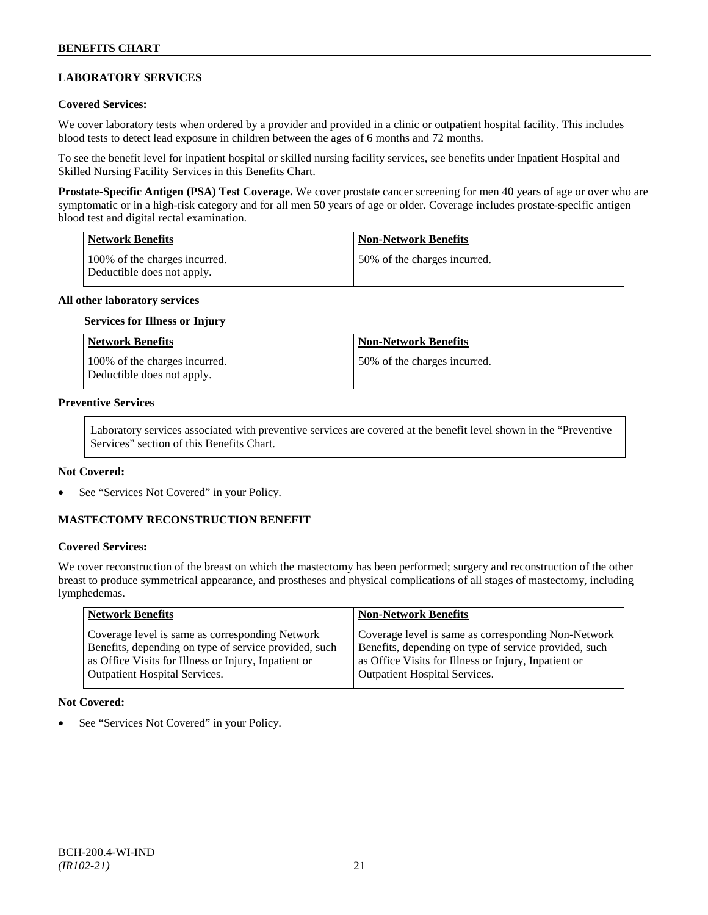# **LABORATORY SERVICES**

### **Covered Services:**

We cover laboratory tests when ordered by a provider and provided in a clinic or outpatient hospital facility. This includes blood tests to detect lead exposure in children between the ages of 6 months and 72 months.

To see the benefit level for inpatient hospital or skilled nursing facility services, see benefits under Inpatient Hospital and Skilled Nursing Facility Services in this Benefits Chart.

**Prostate-Specific Antigen (PSA) Test Coverage.** We cover prostate cancer screening for men 40 years of age or over who are symptomatic or in a high-risk category and for all men 50 years of age or older. Coverage includes prostate-specific antigen blood test and digital rectal examination.

| Network Benefits                                             | <b>Non-Network Benefits</b>  |
|--------------------------------------------------------------|------------------------------|
| 100\% of the charges incurred.<br>Deductible does not apply. | 50% of the charges incurred. |

#### **All other laboratory services**

#### **Services for Illness or Injury**

| Network Benefits                                            | <b>Non-Network Benefits</b>  |
|-------------------------------------------------------------|------------------------------|
| 100% of the charges incurred.<br>Deductible does not apply. | 50% of the charges incurred. |

#### **Preventive Services**

Laboratory services associated with preventive services are covered at the benefit level shown in the "Preventive Services" section of this Benefits Chart.

#### **Not Covered:**

See "Services Not Covered" in your Policy.

# **MASTECTOMY RECONSTRUCTION BENEFIT**

# **Covered Services:**

We cover reconstruction of the breast on which the mastectomy has been performed; surgery and reconstruction of the other breast to produce symmetrical appearance, and prostheses and physical complications of all stages of mastectomy, including lymphedemas.

| <b>Network Benefits</b>                               | <b>Non-Network Benefits</b>                           |
|-------------------------------------------------------|-------------------------------------------------------|
| Coverage level is same as corresponding Network       | Coverage level is same as corresponding Non-Network   |
| Benefits, depending on type of service provided, such | Benefits, depending on type of service provided, such |
| as Office Visits for Illness or Injury, Inpatient or  | as Office Visits for Illness or Injury, Inpatient or  |
| <b>Outpatient Hospital Services.</b>                  | Outpatient Hospital Services.                         |

#### **Not Covered:**

See "Services Not Covered" in your Policy.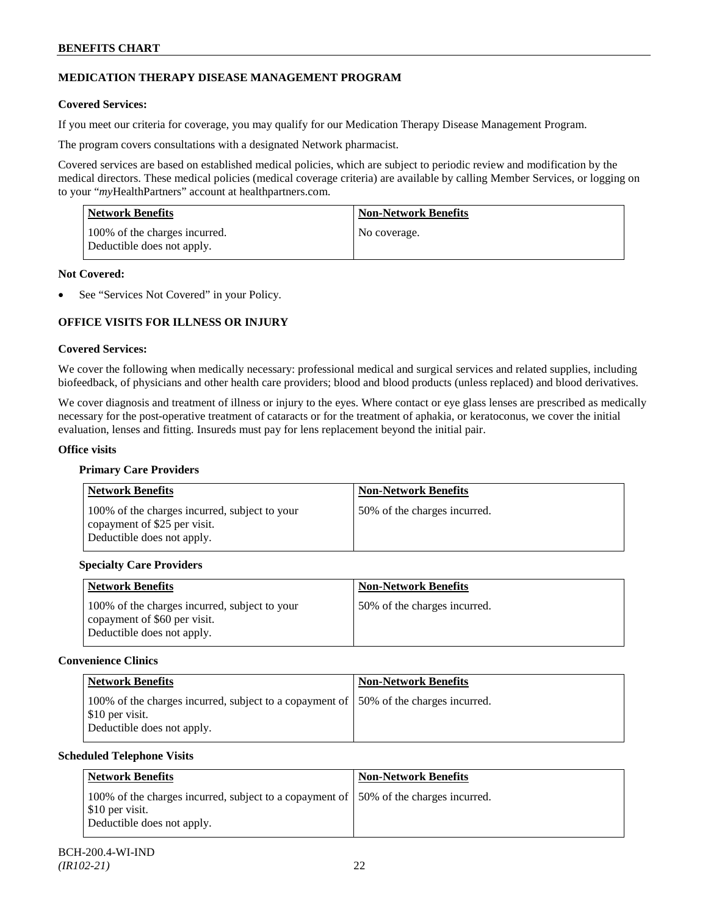# **MEDICATION THERAPY DISEASE MANAGEMENT PROGRAM**

# **Covered Services:**

If you meet our criteria for coverage, you may qualify for our Medication Therapy Disease Management Program.

The program covers consultations with a designated Network pharmacist.

Covered services are based on established medical policies, which are subject to periodic review and modification by the medical directors. These medical policies (medical coverage criteria) are available by calling Member Services, or logging on to your "*my*HealthPartners" account at [healthpartners.com.](http://www.healthpartners.com/)

| <b>Network Benefits</b>                                     | <b>Non-Network Benefits</b> |
|-------------------------------------------------------------|-----------------------------|
| 100% of the charges incurred.<br>Deductible does not apply. | No coverage.                |

#### **Not Covered:**

See "Services Not Covered" in your Policy.

# **OFFICE VISITS FOR ILLNESS OR INJURY**

#### **Covered Services:**

We cover the following when medically necessary: professional medical and surgical services and related supplies, including biofeedback, of physicians and other health care providers; blood and blood products (unless replaced) and blood derivatives.

We cover diagnosis and treatment of illness or injury to the eyes. Where contact or eye glass lenses are prescribed as medically necessary for the post-operative treatment of cataracts or for the treatment of aphakia, or keratoconus, we cover the initial evaluation, lenses and fitting. Insureds must pay for lens replacement beyond the initial pair.

#### **Office visits**

# **Primary Care Providers**

| <b>Network Benefits</b>                                                                                     | <b>Non-Network Benefits</b>  |
|-------------------------------------------------------------------------------------------------------------|------------------------------|
| 100% of the charges incurred, subject to your<br>copayment of \$25 per visit.<br>Deductible does not apply. | 50% of the charges incurred. |

# **Specialty Care Providers**

| <b>Network Benefits</b>                                                                                     | <b>Non-Network Benefits</b>  |
|-------------------------------------------------------------------------------------------------------------|------------------------------|
| 100% of the charges incurred, subject to your<br>copayment of \$60 per visit.<br>Deductible does not apply. | 50% of the charges incurred. |

# **Convenience Clinics**

| <b>Network Benefits</b>                                                                                                                | <b>Non-Network Benefits</b> |
|----------------------------------------------------------------------------------------------------------------------------------------|-----------------------------|
| 100% of the charges incurred, subject to a copayment of 150% of the charges incurred.<br>\$10 per visit.<br>Deductible does not apply. |                             |

# **Scheduled Telephone Visits**

| Network Benefits                                                                                                                      | <b>Non-Network Benefits</b> |
|---------------------------------------------------------------------------------------------------------------------------------------|-----------------------------|
| 100% of the charges incurred, subject to a copayment of 50% of the charges incurred.<br>\$10 per visit.<br>Deductible does not apply. |                             |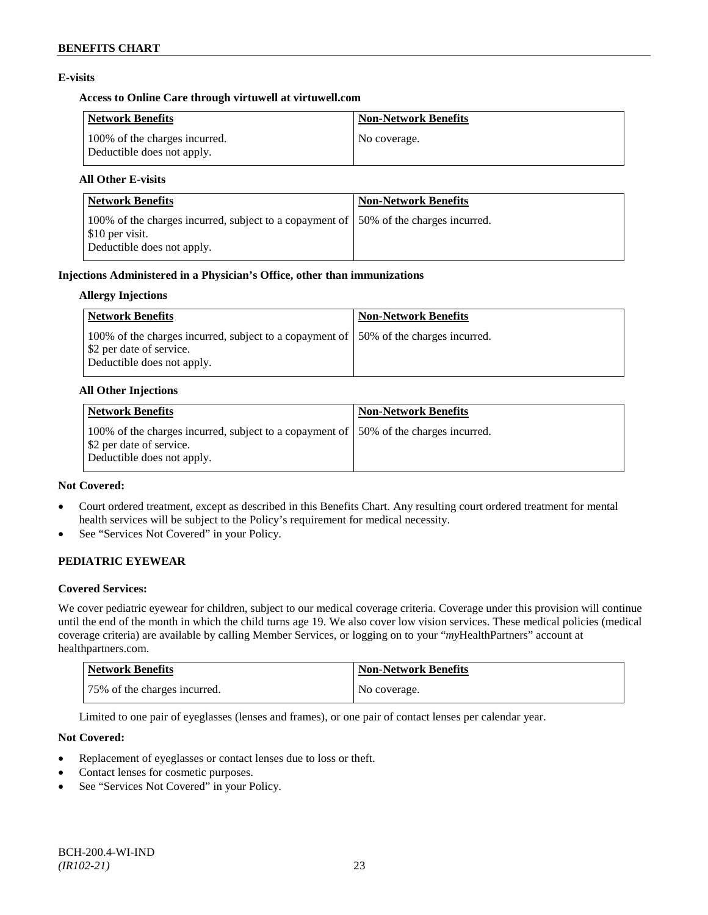# **E-visits**

# **Access to Online Care through virtuwell a[t virtuwell.com](http://www.virtuwell.com/)**

| <b>Network Benefits</b>                                     | <b>Non-Network Benefits</b> |
|-------------------------------------------------------------|-----------------------------|
| 100% of the charges incurred.<br>Deductible does not apply. | No coverage.                |

# **All Other E-visits**

| Network Benefits                                                                                                                       | <b>Non-Network Benefits</b> |
|----------------------------------------------------------------------------------------------------------------------------------------|-----------------------------|
| 100% of the charges incurred, subject to a copayment of 150% of the charges incurred.<br>\$10 per visit.<br>Deductible does not apply. |                             |

#### **Injections Administered in a Physician's Office, other than immunizations**

#### **Allergy Injections**

| <b>Network Benefits</b>                                                                                                                              | <b>Non-Network Benefits</b> |
|------------------------------------------------------------------------------------------------------------------------------------------------------|-----------------------------|
| 100% of the charges incurred, subject to a copayment of 150% of the charges incurred.<br>Select 2 per date of service.<br>Deductible does not apply. |                             |

#### **All Other Injections**

| Network Benefits                                                                                                                                | <b>Non-Network Benefits</b> |
|-------------------------------------------------------------------------------------------------------------------------------------------------|-----------------------------|
| 100% of the charges incurred, subject to a copayment of 150% of the charges incurred.<br>\$2 per date of service.<br>Deductible does not apply. |                             |

### **Not Covered:**

- Court ordered treatment, except as described in this Benefits Chart. Any resulting court ordered treatment for mental health services will be subject to the Policy's requirement for medical necessity.
- See "Services Not Covered" in your Policy.

# **PEDIATRIC EYEWEAR**

# **Covered Services:**

We cover pediatric eyewear for children, subject to our medical coverage criteria. Coverage under this provision will continue until the end of the month in which the child turns age 19. We also cover low vision services. These medical policies (medical coverage criteria) are available by calling Member Services, or logging on to your "*my*HealthPartners" account at [healthpartners.com.](http://www.healthpartners.com/)

| <b>Network Benefits</b>      | Non-Network Benefits |
|------------------------------|----------------------|
| 75% of the charges incurred. | No coverage.         |

Limited to one pair of eyeglasses (lenses and frames), or one pair of contact lenses per calendar year.

# **Not Covered:**

- Replacement of eyeglasses or contact lenses due to loss or theft.
- Contact lenses for cosmetic purposes.
- See "Services Not Covered" in your Policy.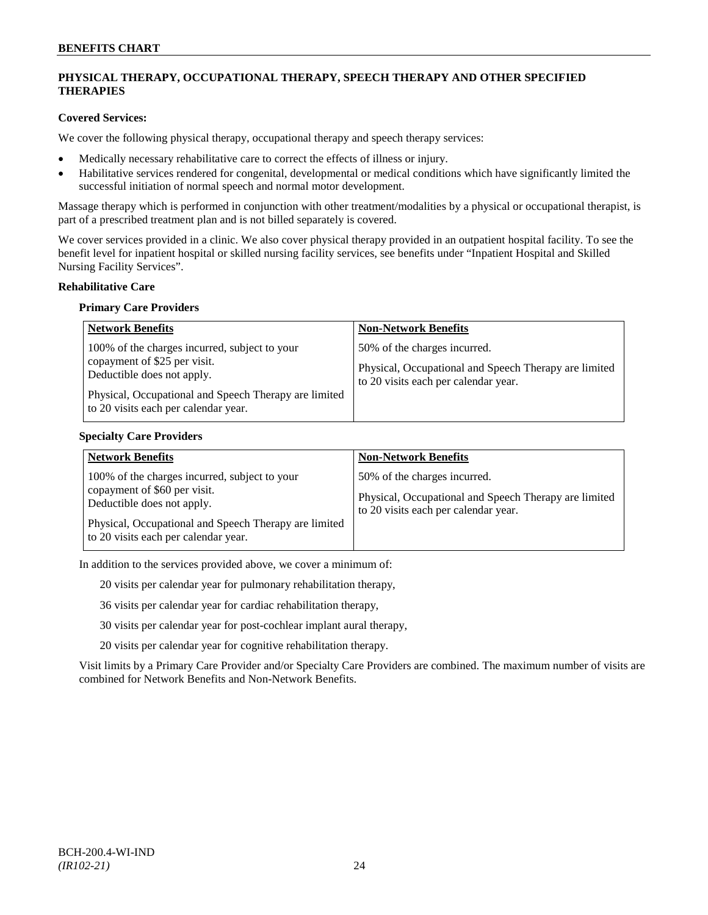# **PHYSICAL THERAPY, OCCUPATIONAL THERAPY, SPEECH THERAPY AND OTHER SPECIFIED THERAPIES**

# **Covered Services:**

We cover the following physical therapy, occupational therapy and speech therapy services:

- Medically necessary rehabilitative care to correct the effects of illness or injury.
- Habilitative services rendered for congenital, developmental or medical conditions which have significantly limited the successful initiation of normal speech and normal motor development.

Massage therapy which is performed in conjunction with other treatment/modalities by a physical or occupational therapist, is part of a prescribed treatment plan and is not billed separately is covered.

We cover services provided in a clinic. We also cover physical therapy provided in an outpatient hospital facility. To see the benefit level for inpatient hospital or skilled nursing facility services, see benefits under "Inpatient Hospital and Skilled Nursing Facility Services".

#### **Rehabilitative Care**

#### **Primary Care Providers**

| <b>Network Benefits</b>                                                                                                                                                                                      | <b>Non-Network Benefits</b>                                                                                                   |
|--------------------------------------------------------------------------------------------------------------------------------------------------------------------------------------------------------------|-------------------------------------------------------------------------------------------------------------------------------|
| 100% of the charges incurred, subject to your<br>copayment of \$25 per visit.<br>Deductible does not apply.<br>Physical, Occupational and Speech Therapy are limited<br>to 20 visits each per calendar year. | 50% of the charges incurred.<br>Physical, Occupational and Speech Therapy are limited<br>to 20 visits each per calendar year. |

#### **Specialty Care Providers**

| <b>Network Benefits</b>                                                                                                                                                                                      | <b>Non-Network Benefits</b>                                                                                                   |
|--------------------------------------------------------------------------------------------------------------------------------------------------------------------------------------------------------------|-------------------------------------------------------------------------------------------------------------------------------|
| 100% of the charges incurred, subject to your<br>copayment of \$60 per visit.<br>Deductible does not apply.<br>Physical, Occupational and Speech Therapy are limited<br>to 20 visits each per calendar year. | 50% of the charges incurred.<br>Physical, Occupational and Speech Therapy are limited<br>to 20 visits each per calendar year. |

In addition to the services provided above, we cover a minimum of:

20 visits per calendar year for pulmonary rehabilitation therapy,

36 visits per calendar year for cardiac rehabilitation therapy,

30 visits per calendar year for post-cochlear implant aural therapy,

20 visits per calendar year for cognitive rehabilitation therapy.

Visit limits by a Primary Care Provider and/or Specialty Care Providers are combined. The maximum number of visits are combined for Network Benefits and Non-Network Benefits.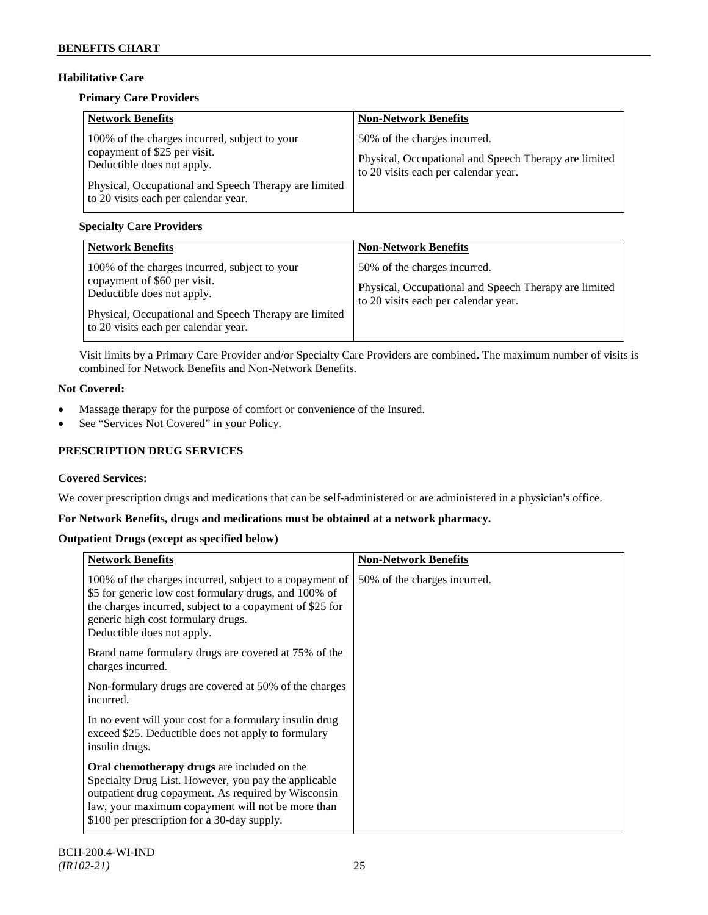# **Habilitative Care**

# **Primary Care Providers**

| <b>Network Benefits</b>                                                                                                                                                                                      | <b>Non-Network Benefits</b>                                                                                                   |
|--------------------------------------------------------------------------------------------------------------------------------------------------------------------------------------------------------------|-------------------------------------------------------------------------------------------------------------------------------|
| 100% of the charges incurred, subject to your<br>copayment of \$25 per visit.<br>Deductible does not apply.<br>Physical, Occupational and Speech Therapy are limited<br>to 20 visits each per calendar year. | 50% of the charges incurred.<br>Physical, Occupational and Speech Therapy are limited<br>to 20 visits each per calendar year. |

# **Specialty Care Providers**

| <b>Network Benefits</b>                                                                                                                                                                                      | <b>Non-Network Benefits</b>                                                                                                   |
|--------------------------------------------------------------------------------------------------------------------------------------------------------------------------------------------------------------|-------------------------------------------------------------------------------------------------------------------------------|
| 100% of the charges incurred, subject to your<br>copayment of \$60 per visit.<br>Deductible does not apply.<br>Physical, Occupational and Speech Therapy are limited<br>to 20 visits each per calendar year. | 50% of the charges incurred.<br>Physical, Occupational and Speech Therapy are limited<br>to 20 visits each per calendar year. |

Visit limits by a Primary Care Provider and/or Specialty Care Providers are combined**.** The maximum number of visits is combined for Network Benefits and Non-Network Benefits.

# **Not Covered:**

- Massage therapy for the purpose of comfort or convenience of the Insured.
- See "Services Not Covered" in your Policy.

# **PRESCRIPTION DRUG SERVICES**

# **Covered Services:**

We cover prescription drugs and medications that can be self-administered or are administered in a physician's office.

# **For Network Benefits, drugs and medications must be obtained at a network pharmacy.**

# **Outpatient Drugs (except as specified below)**

| <b>Network Benefits</b>                                                                                                                                                                                                                                        | <b>Non-Network Benefits</b>  |
|----------------------------------------------------------------------------------------------------------------------------------------------------------------------------------------------------------------------------------------------------------------|------------------------------|
| 100% of the charges incurred, subject to a copayment of<br>\$5 for generic low cost formulary drugs, and 100% of<br>the charges incurred, subject to a copayment of \$25 for<br>generic high cost formulary drugs.<br>Deductible does not apply.               | 50% of the charges incurred. |
| Brand name formulary drugs are covered at 75% of the<br>charges incurred.                                                                                                                                                                                      |                              |
| Non-formulary drugs are covered at 50% of the charges<br>incurred.                                                                                                                                                                                             |                              |
| In no event will your cost for a formulary insulin drug<br>exceed \$25. Deductible does not apply to formulary<br>insulin drugs.                                                                                                                               |                              |
| Oral chemotherapy drugs are included on the<br>Specialty Drug List. However, you pay the applicable<br>outpatient drug copayment. As required by Wisconsin<br>law, your maximum copayment will not be more than<br>\$100 per prescription for a 30-day supply. |                              |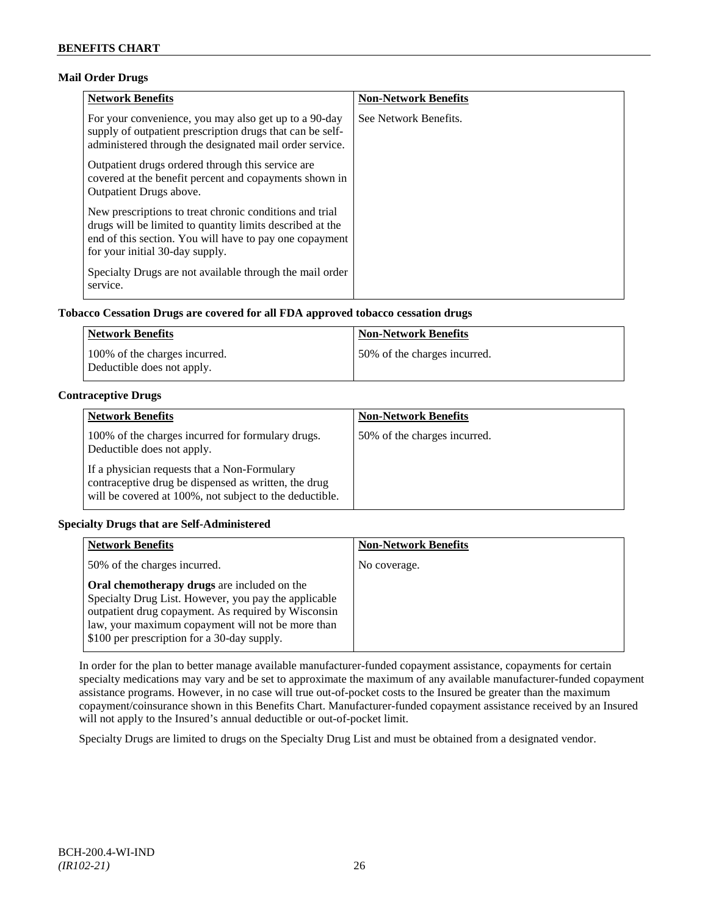# **Mail Order Drugs**

| <b>Network Benefits</b>                                                                                                                                                                                            | <b>Non-Network Benefits</b> |
|--------------------------------------------------------------------------------------------------------------------------------------------------------------------------------------------------------------------|-----------------------------|
| For your convenience, you may also get up to a 90-day<br>supply of outpatient prescription drugs that can be self-<br>administered through the designated mail order service.                                      | See Network Benefits.       |
| Outpatient drugs ordered through this service are.<br>covered at the benefit percent and copayments shown in<br><b>Outpatient Drugs above.</b>                                                                     |                             |
| New prescriptions to treat chronic conditions and trial<br>drugs will be limited to quantity limits described at the<br>end of this section. You will have to pay one copayment<br>for your initial 30-day supply. |                             |
| Specialty Drugs are not available through the mail order<br>service.                                                                                                                                               |                             |

# **Tobacco Cessation Drugs are covered for all FDA approved tobacco cessation drugs**

| Network Benefits                                            | <b>Non-Network Benefits</b>  |
|-------------------------------------------------------------|------------------------------|
| 100% of the charges incurred.<br>Deductible does not apply. | 50% of the charges incurred. |

# **Contraceptive Drugs**

| <b>Network Benefits</b>                                                                                                                                         | <b>Non-Network Benefits</b>  |
|-----------------------------------------------------------------------------------------------------------------------------------------------------------------|------------------------------|
| 100% of the charges incurred for formulary drugs.<br>Deductible does not apply.                                                                                 | 50% of the charges incurred. |
| If a physician requests that a Non-Formulary<br>contraceptive drug be dispensed as written, the drug<br>will be covered at 100%, not subject to the deductible. |                              |

# **Specialty Drugs that are Self-Administered**

| <b>Network Benefits</b>                                                                                                                                                                                                                                               | <b>Non-Network Benefits</b> |
|-----------------------------------------------------------------------------------------------------------------------------------------------------------------------------------------------------------------------------------------------------------------------|-----------------------------|
| 50% of the charges incurred.                                                                                                                                                                                                                                          | No coverage.                |
| <b>Oral chemotherapy drugs</b> are included on the<br>Specialty Drug List. However, you pay the applicable<br>outpatient drug copayment. As required by Wisconsin<br>law, your maximum copayment will not be more than<br>\$100 per prescription for a 30-day supply. |                             |

In order for the plan to better manage available manufacturer-funded copayment assistance, copayments for certain specialty medications may vary and be set to approximate the maximum of any available manufacturer-funded copayment assistance programs. However, in no case will true out-of-pocket costs to the Insured be greater than the maximum copayment/coinsurance shown in this Benefits Chart. Manufacturer-funded copayment assistance received by an Insured will not apply to the Insured's annual deductible or out-of-pocket limit.

Specialty Drugs are limited to drugs on the Specialty Drug List and must be obtained from a designated vendor.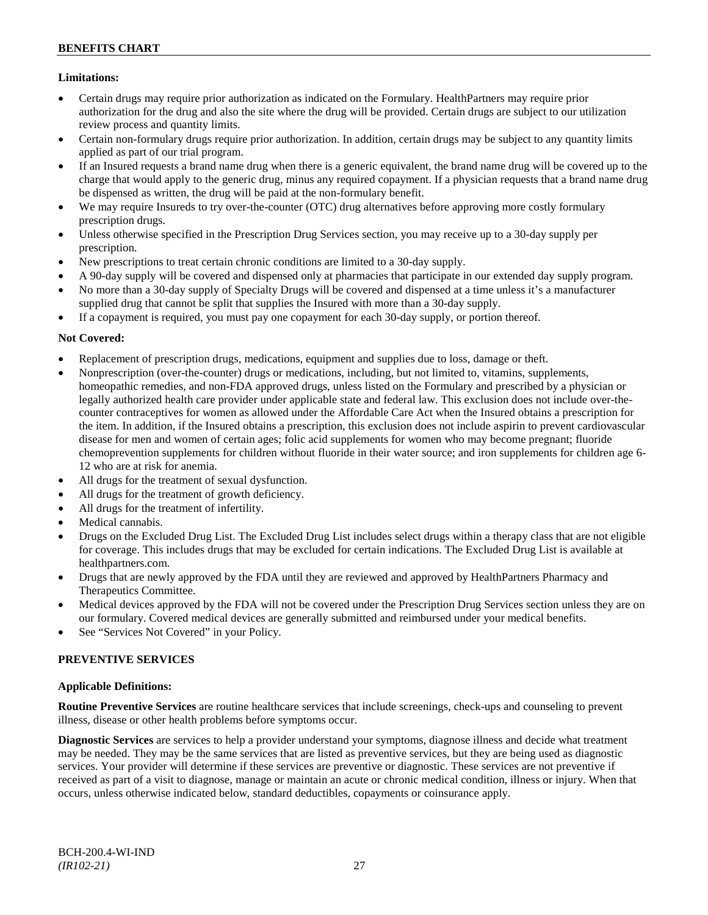# **Limitations:**

- Certain drugs may require prior authorization as indicated on the Formulary. HealthPartners may require prior authorization for the drug and also the site where the drug will be provided. Certain drugs are subject to our utilization review process and quantity limits.
- Certain non-formulary drugs require prior authorization. In addition, certain drugs may be subject to any quantity limits applied as part of our trial program.
- If an Insured requests a brand name drug when there is a generic equivalent, the brand name drug will be covered up to the charge that would apply to the generic drug, minus any required copayment. If a physician requests that a brand name drug be dispensed as written, the drug will be paid at the non-formulary benefit.
- We may require Insureds to try over-the-counter (OTC) drug alternatives before approving more costly formulary prescription drugs.
- Unless otherwise specified in the Prescription Drug Services section, you may receive up to a 30-day supply per prescription.
- New prescriptions to treat certain chronic conditions are limited to a 30-day supply.
- A 90-day supply will be covered and dispensed only at pharmacies that participate in our extended day supply program.
- No more than a 30-day supply of Specialty Drugs will be covered and dispensed at a time unless it's a manufacturer supplied drug that cannot be split that supplies the Insured with more than a 30-day supply.
- If a copayment is required, you must pay one copayment for each 30-day supply, or portion thereof.

# **Not Covered:**

- Replacement of prescription drugs, medications, equipment and supplies due to loss, damage or theft.
- Nonprescription (over-the-counter) drugs or medications, including, but not limited to, vitamins, supplements, homeopathic remedies, and non-FDA approved drugs, unless listed on the Formulary and prescribed by a physician or legally authorized health care provider under applicable state and federal law. This exclusion does not include over-thecounter contraceptives for women as allowed under the Affordable Care Act when the Insured obtains a prescription for the item. In addition, if the Insured obtains a prescription, this exclusion does not include aspirin to prevent cardiovascular disease for men and women of certain ages; folic acid supplements for women who may become pregnant; fluoride chemoprevention supplements for children without fluoride in their water source; and iron supplements for children age 6- 12 who are at risk for anemia.
- All drugs for the treatment of sexual dysfunction.
- All drugs for the treatment of growth deficiency.
- All drugs for the treatment of infertility.
- Medical cannabis.
- Drugs on the Excluded Drug List. The Excluded Drug List includes select drugs within a therapy class that are not eligible for coverage. This includes drugs that may be excluded for certain indications. The Excluded Drug List is available at [healthpartners.com.](http://www.healthpartners.com/)
- Drugs that are newly approved by the FDA until they are reviewed and approved by HealthPartners Pharmacy and Therapeutics Committee.
- Medical devices approved by the FDA will not be covered under the Prescription Drug Services section unless they are on our formulary. Covered medical devices are generally submitted and reimbursed under your medical benefits.
- See "Services Not Covered" in your Policy.

# **PREVENTIVE SERVICES**

# **Applicable Definitions:**

**Routine Preventive Services** are routine healthcare services that include screenings, check-ups and counseling to prevent illness, disease or other health problems before symptoms occur.

**Diagnostic Services** are services to help a provider understand your symptoms, diagnose illness and decide what treatment may be needed. They may be the same services that are listed as preventive services, but they are being used as diagnostic services. Your provider will determine if these services are preventive or diagnostic. These services are not preventive if received as part of a visit to diagnose, manage or maintain an acute or chronic medical condition, illness or injury. When that occurs, unless otherwise indicated below, standard deductibles, copayments or coinsurance apply.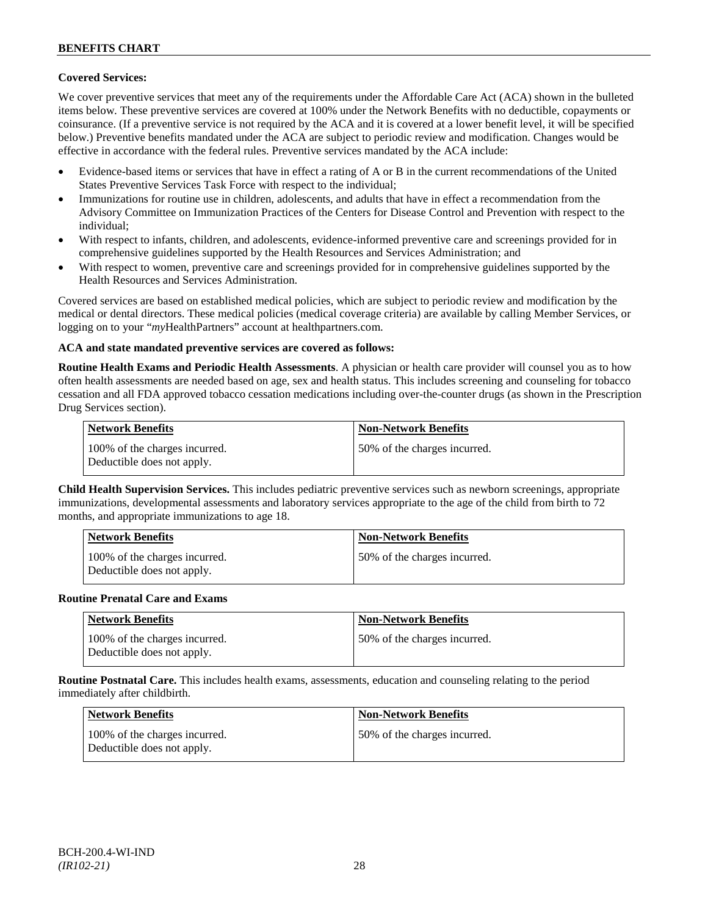# **Covered Services:**

We cover preventive services that meet any of the requirements under the Affordable Care Act (ACA) shown in the bulleted items below. These preventive services are covered at 100% under the Network Benefits with no deductible, copayments or coinsurance. (If a preventive service is not required by the ACA and it is covered at a lower benefit level, it will be specified below.) Preventive benefits mandated under the ACA are subject to periodic review and modification. Changes would be effective in accordance with the federal rules. Preventive services mandated by the ACA include:

- Evidence-based items or services that have in effect a rating of A or B in the current recommendations of the United States Preventive Services Task Force with respect to the individual;
- Immunizations for routine use in children, adolescents, and adults that have in effect a recommendation from the Advisory Committee on Immunization Practices of the Centers for Disease Control and Prevention with respect to the individual;
- With respect to infants, children, and adolescents, evidence-informed preventive care and screenings provided for in comprehensive guidelines supported by the Health Resources and Services Administration; and
- With respect to women, preventive care and screenings provided for in comprehensive guidelines supported by the Health Resources and Services Administration.

Covered services are based on established medical policies, which are subject to periodic review and modification by the medical or dental directors. These medical policies (medical coverage criteria) are available by calling Member Services, or logging on to your "*my*HealthPartners" account at [healthpartners.com.](http://www.healthpartners.com/)

# **ACA and state mandated preventive services are covered as follows:**

**Routine Health Exams and Periodic Health Assessments**. A physician or health care provider will counsel you as to how often health assessments are needed based on age, sex and health status. This includes screening and counseling for tobacco cessation and all FDA approved tobacco cessation medications including over-the-counter drugs (as shown in the Prescription Drug Services section).

| <b>Network Benefits</b>                                     | <b>Non-Network Benefits</b>  |
|-------------------------------------------------------------|------------------------------|
| 100% of the charges incurred.<br>Deductible does not apply. | 50% of the charges incurred. |

**Child Health Supervision Services.** This includes pediatric preventive services such as newborn screenings, appropriate immunizations, developmental assessments and laboratory services appropriate to the age of the child from birth to 72 months, and appropriate immunizations to age 18.

| <b>Network Benefits</b>                                     | <b>Non-Network Benefits</b>  |
|-------------------------------------------------------------|------------------------------|
| 100% of the charges incurred.<br>Deductible does not apply. | 50% of the charges incurred. |

#### **Routine Prenatal Care and Exams**

| <b>Network Benefits</b>                                     | <b>Non-Network Benefits</b>  |
|-------------------------------------------------------------|------------------------------|
| 100% of the charges incurred.<br>Deductible does not apply. | 50% of the charges incurred. |

**Routine Postnatal Care.** This includes health exams, assessments, education and counseling relating to the period immediately after childbirth.

| <b>Network Benefits</b>                                     | <b>Non-Network Benefits</b>  |
|-------------------------------------------------------------|------------------------------|
| 100% of the charges incurred.<br>Deductible does not apply. | 50% of the charges incurred. |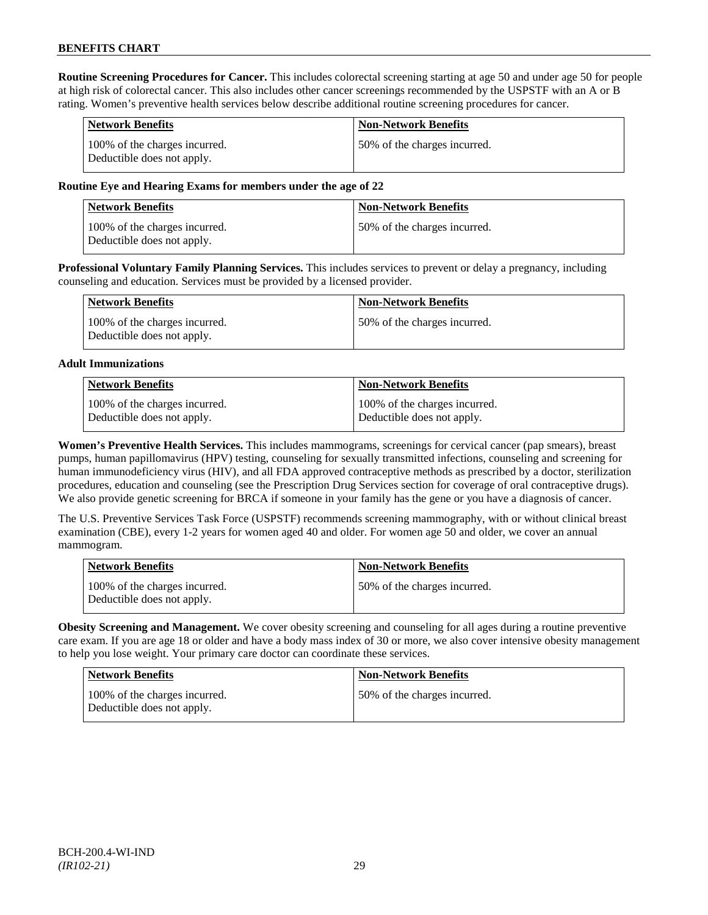**Routine Screening Procedures for Cancer.** This includes colorectal screening starting at age 50 and under age 50 for people at high risk of colorectal cancer. This also includes other cancer screenings recommended by the USPSTF with an A or B rating. Women's preventive health services below describe additional routine screening procedures for cancer.

| <b>Network Benefits</b>                                     | <b>Non-Network Benefits</b>  |
|-------------------------------------------------------------|------------------------------|
| 100% of the charges incurred.<br>Deductible does not apply. | 50% of the charges incurred. |

# **Routine Eye and Hearing Exams for members under the age of 22**

| <b>Network Benefits</b>                                     | <b>Non-Network Benefits</b>  |
|-------------------------------------------------------------|------------------------------|
| 100% of the charges incurred.<br>Deductible does not apply. | 50% of the charges incurred. |

**Professional Voluntary Family Planning Services.** This includes services to prevent or delay a pregnancy, including counseling and education. Services must be provided by a licensed provider.

| Network Benefits                                            | <b>Non-Network Benefits</b>  |
|-------------------------------------------------------------|------------------------------|
| 100% of the charges incurred.<br>Deductible does not apply. | 50% of the charges incurred. |

#### **Adult Immunizations**

| Network Benefits              | Non-Network Benefits          |
|-------------------------------|-------------------------------|
| 100% of the charges incurred. | 100% of the charges incurred. |
| Deductible does not apply.    | Deductible does not apply.    |

**Women's Preventive Health Services.** This includes mammograms, screenings for cervical cancer (pap smears), breast pumps, human papillomavirus (HPV) testing, counseling for sexually transmitted infections, counseling and screening for human immunodeficiency virus (HIV), and all FDA approved contraceptive methods as prescribed by a doctor, sterilization procedures, education and counseling (see the Prescription Drug Services section for coverage of oral contraceptive drugs). We also provide genetic screening for BRCA if someone in your family has the gene or you have a diagnosis of cancer.

The U.S. Preventive Services Task Force (USPSTF) recommends screening mammography, with or without clinical breast examination (CBE), every 1-2 years for women aged 40 and older. For women age 50 and older, we cover an annual mammogram.

| <b>Network Benefits</b>                                     | <b>Non-Network Benefits</b>  |
|-------------------------------------------------------------|------------------------------|
| 100% of the charges incurred.<br>Deductible does not apply. | 50% of the charges incurred. |

**Obesity Screening and Management.** We cover obesity screening and counseling for all ages during a routine preventive care exam. If you are age 18 or older and have a body mass index of 30 or more, we also cover intensive obesity management to help you lose weight. Your primary care doctor can coordinate these services.

| <b>Network Benefits</b>                                     | <b>Non-Network Benefits</b>  |
|-------------------------------------------------------------|------------------------------|
| 100% of the charges incurred.<br>Deductible does not apply. | 50% of the charges incurred. |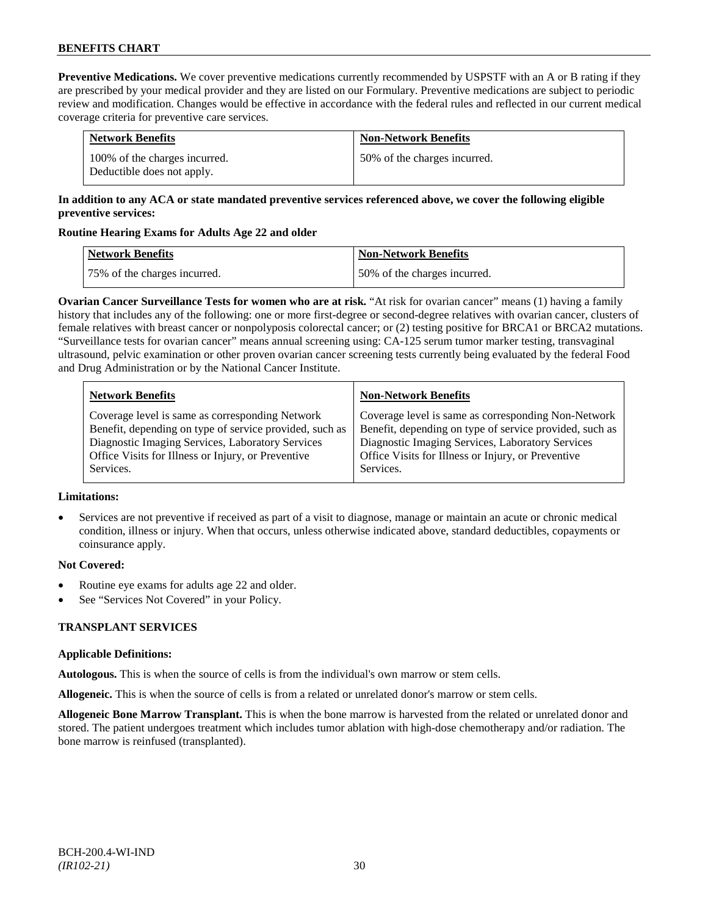**Preventive Medications.** We cover preventive medications currently recommended by USPSTF with an A or B rating if they are prescribed by your medical provider and they are listed on our Formulary. Preventive medications are subject to periodic review and modification. Changes would be effective in accordance with the federal rules and reflected in our current medical coverage criteria for preventive care services.

| <b>Network Benefits</b>                                     | <b>Non-Network Benefits</b>  |
|-------------------------------------------------------------|------------------------------|
| 100% of the charges incurred.<br>Deductible does not apply. | 50% of the charges incurred. |

# **In addition to any ACA or state mandated preventive services referenced above, we cover the following eligible preventive services:**

# **Routine Hearing Exams for Adults Age 22 and older**

| Network Benefits             | <b>Non-Network Benefits</b>  |
|------------------------------|------------------------------|
| 75% of the charges incurred. | 50% of the charges incurred. |

**Ovarian Cancer Surveillance Tests for women who are at risk.** "At risk for ovarian cancer" means (1) having a family history that includes any of the following: one or more first-degree or second-degree relatives with ovarian cancer, clusters of female relatives with breast cancer or nonpolyposis colorectal cancer; or (2) testing positive for BRCA1 or BRCA2 mutations. "Surveillance tests for ovarian cancer" means annual screening using: CA-125 serum tumor marker testing, transvaginal ultrasound, pelvic examination or other proven ovarian cancer screening tests currently being evaluated by the federal Food and Drug Administration or by the National Cancer Institute.

| <b>Network Benefits</b>                                 | <b>Non-Network Benefits</b>                             |
|---------------------------------------------------------|---------------------------------------------------------|
| Coverage level is same as corresponding Network         | Coverage level is same as corresponding Non-Network     |
| Benefit, depending on type of service provided, such as | Benefit, depending on type of service provided, such as |
| Diagnostic Imaging Services, Laboratory Services        | Diagnostic Imaging Services, Laboratory Services        |
| Office Visits for Illness or Injury, or Preventive      | Office Visits for Illness or Injury, or Preventive      |
| Services.                                               | Services.                                               |

# **Limitations:**

• Services are not preventive if received as part of a visit to diagnose, manage or maintain an acute or chronic medical condition, illness or injury. When that occurs, unless otherwise indicated above, standard deductibles, copayments or coinsurance apply.

# **Not Covered:**

- Routine eye exams for adults age 22 and older.
- See "Services Not Covered" in your Policy.

# **TRANSPLANT SERVICES**

# **Applicable Definitions:**

**Autologous.** This is when the source of cells is from the individual's own marrow or stem cells.

**Allogeneic.** This is when the source of cells is from a related or unrelated donor's marrow or stem cells.

**Allogeneic Bone Marrow Transplant.** This is when the bone marrow is harvested from the related or unrelated donor and stored. The patient undergoes treatment which includes tumor ablation with high-dose chemotherapy and/or radiation. The bone marrow is reinfused (transplanted).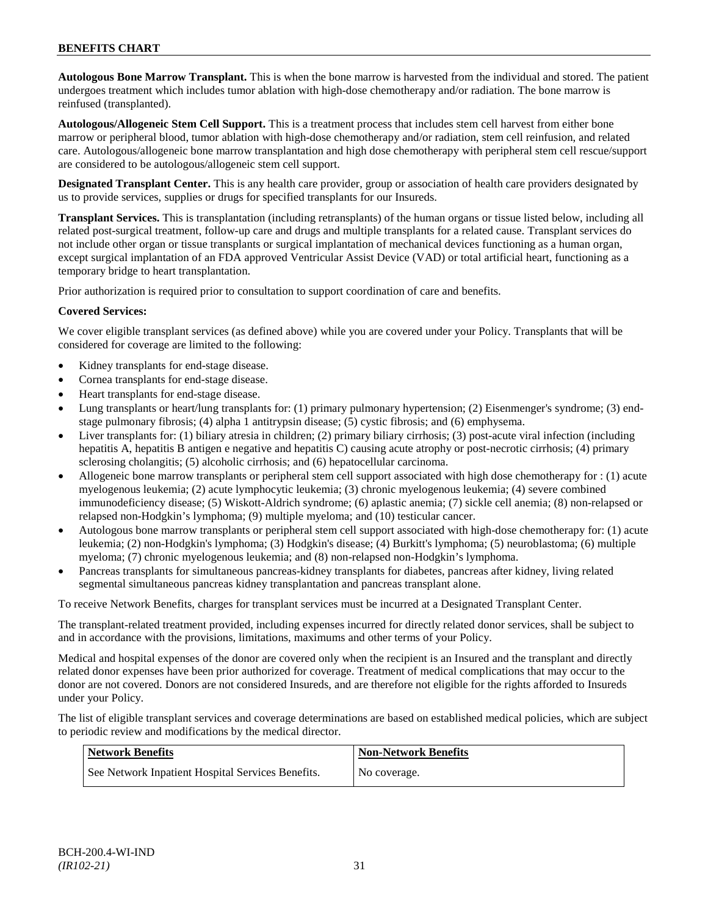**Autologous Bone Marrow Transplant.** This is when the bone marrow is harvested from the individual and stored. The patient undergoes treatment which includes tumor ablation with high-dose chemotherapy and/or radiation. The bone marrow is reinfused (transplanted).

**Autologous/Allogeneic Stem Cell Support.** This is a treatment process that includes stem cell harvest from either bone marrow or peripheral blood, tumor ablation with high-dose chemotherapy and/or radiation, stem cell reinfusion, and related care. Autologous/allogeneic bone marrow transplantation and high dose chemotherapy with peripheral stem cell rescue/support are considered to be autologous/allogeneic stem cell support.

**Designated Transplant Center.** This is any health care provider, group or association of health care providers designated by us to provide services, supplies or drugs for specified transplants for our Insureds.

**Transplant Services.** This is transplantation (including retransplants) of the human organs or tissue listed below, including all related post-surgical treatment, follow-up care and drugs and multiple transplants for a related cause. Transplant services do not include other organ or tissue transplants or surgical implantation of mechanical devices functioning as a human organ, except surgical implantation of an FDA approved Ventricular Assist Device (VAD) or total artificial heart, functioning as a temporary bridge to heart transplantation.

Prior authorization is required prior to consultation to support coordination of care and benefits.

# **Covered Services:**

We cover eligible transplant services (as defined above) while you are covered under your Policy. Transplants that will be considered for coverage are limited to the following:

- Kidney transplants for end-stage disease.
- Cornea transplants for end-stage disease.
- Heart transplants for end-stage disease.
- Lung transplants or heart/lung transplants for: (1) primary pulmonary hypertension; (2) Eisenmenger's syndrome; (3) endstage pulmonary fibrosis; (4) alpha 1 antitrypsin disease; (5) cystic fibrosis; and (6) emphysema.
- Liver transplants for: (1) biliary atresia in children; (2) primary biliary cirrhosis; (3) post-acute viral infection (including hepatitis A, hepatitis B antigen e negative and hepatitis C) causing acute atrophy or post-necrotic cirrhosis; (4) primary sclerosing cholangitis; (5) alcoholic cirrhosis; and (6) hepatocellular carcinoma.
- Allogeneic bone marrow transplants or peripheral stem cell support associated with high dose chemotherapy for : (1) acute myelogenous leukemia; (2) acute lymphocytic leukemia; (3) chronic myelogenous leukemia; (4) severe combined immunodeficiency disease; (5) Wiskott-Aldrich syndrome; (6) aplastic anemia; (7) sickle cell anemia; (8) non-relapsed or relapsed non-Hodgkin's lymphoma; (9) multiple myeloma; and (10) testicular cancer.
- Autologous bone marrow transplants or peripheral stem cell support associated with high-dose chemotherapy for: (1) acute leukemia; (2) non-Hodgkin's lymphoma; (3) Hodgkin's disease; (4) Burkitt's lymphoma; (5) neuroblastoma; (6) multiple myeloma; (7) chronic myelogenous leukemia; and (8) non-relapsed non-Hodgkin's lymphoma.
- Pancreas transplants for simultaneous pancreas-kidney transplants for diabetes, pancreas after kidney, living related segmental simultaneous pancreas kidney transplantation and pancreas transplant alone.

To receive Network Benefits, charges for transplant services must be incurred at a Designated Transplant Center.

The transplant-related treatment provided, including expenses incurred for directly related donor services, shall be subject to and in accordance with the provisions, limitations, maximums and other terms of your Policy.

Medical and hospital expenses of the donor are covered only when the recipient is an Insured and the transplant and directly related donor expenses have been prior authorized for coverage. Treatment of medical complications that may occur to the donor are not covered. Donors are not considered Insureds, and are therefore not eligible for the rights afforded to Insureds under your Policy.

The list of eligible transplant services and coverage determinations are based on established medical policies, which are subject to periodic review and modifications by the medical director.

| <b>Network Benefits</b>                           | <b>Non-Network Benefits</b> |
|---------------------------------------------------|-----------------------------|
| See Network Inpatient Hospital Services Benefits. | No coverage.                |